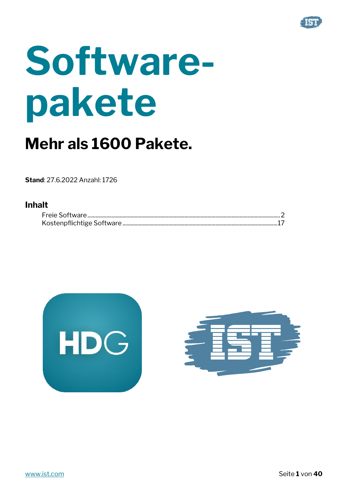

# **Softwarepakete**

## **Mehr als 1600 Pakete.**

**Stand**: 27.6.2022 Anzahl: 1726

#### **Inhalt**



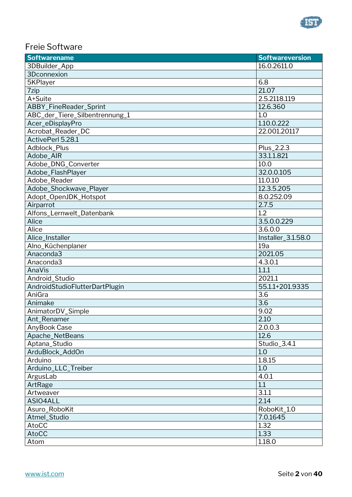

#### <span id="page-1-0"></span>Freie Software

| <b>Softwarename</b>            | <b>Softwareversion</b> |
|--------------------------------|------------------------|
| 3DBuilder_App                  | 16.0.2611.0            |
| 3Dconnexion                    |                        |
| 5KPlayer                       | 6.8                    |
| 7zip                           | 21.07                  |
| A+Suite                        | 2.5.2118.119           |
| ABBY_FineReader_Sprint         | 12.6.360               |
| ABC_der_Tiere_Silbentrennung_1 | 1.0                    |
| Acer_eDisplayPro               | 1.10.0.222             |
| Acrobat_Reader_DC              | 22.001.20117           |
| ActivePerl 5.28.1              |                        |
| Adblock_Plus                   | Plus_2.2.3             |
| Adobe_AIR                      | 33.1.1.821             |
| Adobe_DNG_Converter            | 10.0                   |
| Adobe_FlashPlayer              | 32.0.0.105             |
| Adobe_Reader                   | 11.0.10                |
| Adobe_Shockwave_Player         | 12.3.5.205             |
| Adopt_OpenJDK_Hotspot          | 8.0.252.09             |
| Airparrot                      | 2.7.5                  |
| Alfons_Lernwelt_Datenbank      | 1.2                    |
| Alice                          | 3.5.0.0.229            |
| Alice                          | 3.6.0.0                |
| Alice_Installer                | Installer_3.1.58.0     |
| Alno_Küchenplaner              | 19a                    |
| Anaconda3                      | 2021.05                |
| Anaconda3                      | 4.3.0.1                |
| AnaVis                         | 1.1.1                  |
| Android_Studio                 | 2021.1                 |
| AndroidStudioFlutterDartPlugin | 55.1.1+201.9335        |
| AniGra                         | 3.6                    |
| Animake                        | 3.6                    |
| AnimatorDV_Simple              | 9.02                   |
| Ant_Renamer                    | 2.10                   |
| AnyBook Case                   | 2.0.0.3                |
| Apache_NetBeans                | 12.6                   |
| Aptana_Studio                  | Studio_3.4.1           |
| ArduBlock_AddOn                | 1.0                    |
| Arduino                        | 1.8.15                 |
| Arduino_LLC_Treiber            | 1.0                    |
| ArgusLab                       | 4.0.1                  |
| ArtRage                        | 1.1                    |
| Artweaver                      | 3.1.1                  |
| ASIO4ALL                       | 2.14                   |
| Asuro_RoboKit                  | RoboKit_1.0            |
| Atmel_Studio                   | 7.0.1645               |
| AtoCC                          | 1.32                   |
| AtoCC                          | 1.33                   |
| Atom                           | 1.18.0                 |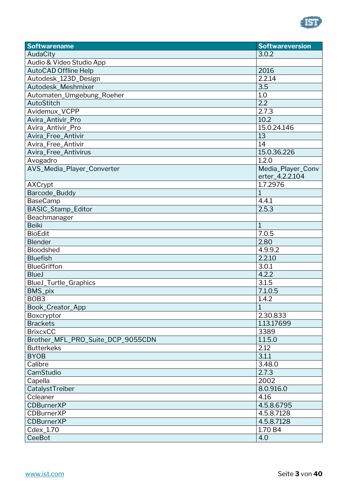

| 3.0.2<br>AudaCity<br>Audio & Video Studio App<br><b>AutoCAD Offline Help</b><br>2016<br>2.2.14<br>Autodesk_123D_Design<br>3.5<br>Autodesk_Meshmixer<br>1.0<br>Automaten_Umgebung_Roeher<br>2.2<br>AutoStitch<br>2.7.3<br>Avidemux_VCPP<br>10.2<br>Avira_Antivir_Pro<br>15.0.24.146<br>Avira_Antivir_Pro<br>13<br>Avira_Free_Antivir<br>14<br>Avira_Free_Antivir<br>15.0.36.226<br>Avira_Free_Antivirus<br>1.2.0<br>Avogadro<br>AVS_Media_Player_Converter<br>Media_Player_Conv<br>erter_4.2.2.104<br>1.7.2976<br>AXCrypt<br>$\mathbf{1}$<br>Barcode_Buddy<br>4.4.1<br><b>BaseCamp</b><br>BASIC_Stamp_Editor<br>2.5.3<br>Beachmanager<br><b>Beiki</b><br>$\mathbf{1}$<br><b>BioEdit</b><br>7.0.5<br><b>Blender</b><br>2.80<br>4.9.9.2<br>Bloodshed<br><b>Bluefish</b><br>2.2.10<br><b>BlueGriffon</b><br>3.0.1<br>4.2.2<br><b>BlueJ</b><br>3.1.5<br>BlueJ_Turtle_Graphics<br>BMS_pix<br>7.1.0.5<br>BOB <sub>3</sub><br>1.4.2<br>Book_Creator_App<br>$\overline{1}$<br>2.30.833<br>Boxcryptor<br>1.13.17699<br><b>Brackets</b><br><b>BrixcxCC</b><br>3389<br>Brother_MFL_PRO_Suite_DCP_9055CDN<br>1.1.5.0<br>2.12<br><b>Butterkeks</b><br>3.1.1<br><b>BYOB</b><br>3.48.0<br>Calibre<br>CamStudio<br>2.7.3<br>2002<br>Capella<br>CatalystTreiber<br>8.0.916.0<br>Ccleaner<br>4.16<br>4.5.8.6795<br><b>CDBurnerXP</b><br>4.5.8.7128<br><b>CDBurnerXP</b><br><b>CDBurnerXP</b><br>4.5.8.7128<br>1.70 B4<br>Cdex_1.70<br><b>CeeBot</b><br>4.0 | <b>Softwarename</b> | <b>Softwareversion</b> |
|-----------------------------------------------------------------------------------------------------------------------------------------------------------------------------------------------------------------------------------------------------------------------------------------------------------------------------------------------------------------------------------------------------------------------------------------------------------------------------------------------------------------------------------------------------------------------------------------------------------------------------------------------------------------------------------------------------------------------------------------------------------------------------------------------------------------------------------------------------------------------------------------------------------------------------------------------------------------------------------------------------------------------------------------------------------------------------------------------------------------------------------------------------------------------------------------------------------------------------------------------------------------------------------------------------------------------------------------------------------------------------------------------------------------------------------------|---------------------|------------------------|
|                                                                                                                                                                                                                                                                                                                                                                                                                                                                                                                                                                                                                                                                                                                                                                                                                                                                                                                                                                                                                                                                                                                                                                                                                                                                                                                                                                                                                                         |                     |                        |
|                                                                                                                                                                                                                                                                                                                                                                                                                                                                                                                                                                                                                                                                                                                                                                                                                                                                                                                                                                                                                                                                                                                                                                                                                                                                                                                                                                                                                                         |                     |                        |
|                                                                                                                                                                                                                                                                                                                                                                                                                                                                                                                                                                                                                                                                                                                                                                                                                                                                                                                                                                                                                                                                                                                                                                                                                                                                                                                                                                                                                                         |                     |                        |
|                                                                                                                                                                                                                                                                                                                                                                                                                                                                                                                                                                                                                                                                                                                                                                                                                                                                                                                                                                                                                                                                                                                                                                                                                                                                                                                                                                                                                                         |                     |                        |
|                                                                                                                                                                                                                                                                                                                                                                                                                                                                                                                                                                                                                                                                                                                                                                                                                                                                                                                                                                                                                                                                                                                                                                                                                                                                                                                                                                                                                                         |                     |                        |
|                                                                                                                                                                                                                                                                                                                                                                                                                                                                                                                                                                                                                                                                                                                                                                                                                                                                                                                                                                                                                                                                                                                                                                                                                                                                                                                                                                                                                                         |                     |                        |
|                                                                                                                                                                                                                                                                                                                                                                                                                                                                                                                                                                                                                                                                                                                                                                                                                                                                                                                                                                                                                                                                                                                                                                                                                                                                                                                                                                                                                                         |                     |                        |
|                                                                                                                                                                                                                                                                                                                                                                                                                                                                                                                                                                                                                                                                                                                                                                                                                                                                                                                                                                                                                                                                                                                                                                                                                                                                                                                                                                                                                                         |                     |                        |
|                                                                                                                                                                                                                                                                                                                                                                                                                                                                                                                                                                                                                                                                                                                                                                                                                                                                                                                                                                                                                                                                                                                                                                                                                                                                                                                                                                                                                                         |                     |                        |
|                                                                                                                                                                                                                                                                                                                                                                                                                                                                                                                                                                                                                                                                                                                                                                                                                                                                                                                                                                                                                                                                                                                                                                                                                                                                                                                                                                                                                                         |                     |                        |
|                                                                                                                                                                                                                                                                                                                                                                                                                                                                                                                                                                                                                                                                                                                                                                                                                                                                                                                                                                                                                                                                                                                                                                                                                                                                                                                                                                                                                                         |                     |                        |
|                                                                                                                                                                                                                                                                                                                                                                                                                                                                                                                                                                                                                                                                                                                                                                                                                                                                                                                                                                                                                                                                                                                                                                                                                                                                                                                                                                                                                                         |                     |                        |
|                                                                                                                                                                                                                                                                                                                                                                                                                                                                                                                                                                                                                                                                                                                                                                                                                                                                                                                                                                                                                                                                                                                                                                                                                                                                                                                                                                                                                                         |                     |                        |
|                                                                                                                                                                                                                                                                                                                                                                                                                                                                                                                                                                                                                                                                                                                                                                                                                                                                                                                                                                                                                                                                                                                                                                                                                                                                                                                                                                                                                                         |                     |                        |
|                                                                                                                                                                                                                                                                                                                                                                                                                                                                                                                                                                                                                                                                                                                                                                                                                                                                                                                                                                                                                                                                                                                                                                                                                                                                                                                                                                                                                                         |                     |                        |
|                                                                                                                                                                                                                                                                                                                                                                                                                                                                                                                                                                                                                                                                                                                                                                                                                                                                                                                                                                                                                                                                                                                                                                                                                                                                                                                                                                                                                                         |                     |                        |
|                                                                                                                                                                                                                                                                                                                                                                                                                                                                                                                                                                                                                                                                                                                                                                                                                                                                                                                                                                                                                                                                                                                                                                                                                                                                                                                                                                                                                                         |                     |                        |
|                                                                                                                                                                                                                                                                                                                                                                                                                                                                                                                                                                                                                                                                                                                                                                                                                                                                                                                                                                                                                                                                                                                                                                                                                                                                                                                                                                                                                                         |                     |                        |
|                                                                                                                                                                                                                                                                                                                                                                                                                                                                                                                                                                                                                                                                                                                                                                                                                                                                                                                                                                                                                                                                                                                                                                                                                                                                                                                                                                                                                                         |                     |                        |
|                                                                                                                                                                                                                                                                                                                                                                                                                                                                                                                                                                                                                                                                                                                                                                                                                                                                                                                                                                                                                                                                                                                                                                                                                                                                                                                                                                                                                                         |                     |                        |
|                                                                                                                                                                                                                                                                                                                                                                                                                                                                                                                                                                                                                                                                                                                                                                                                                                                                                                                                                                                                                                                                                                                                                                                                                                                                                                                                                                                                                                         |                     |                        |
|                                                                                                                                                                                                                                                                                                                                                                                                                                                                                                                                                                                                                                                                                                                                                                                                                                                                                                                                                                                                                                                                                                                                                                                                                                                                                                                                                                                                                                         |                     |                        |
|                                                                                                                                                                                                                                                                                                                                                                                                                                                                                                                                                                                                                                                                                                                                                                                                                                                                                                                                                                                                                                                                                                                                                                                                                                                                                                                                                                                                                                         |                     |                        |
|                                                                                                                                                                                                                                                                                                                                                                                                                                                                                                                                                                                                                                                                                                                                                                                                                                                                                                                                                                                                                                                                                                                                                                                                                                                                                                                                                                                                                                         |                     |                        |
|                                                                                                                                                                                                                                                                                                                                                                                                                                                                                                                                                                                                                                                                                                                                                                                                                                                                                                                                                                                                                                                                                                                                                                                                                                                                                                                                                                                                                                         |                     |                        |
|                                                                                                                                                                                                                                                                                                                                                                                                                                                                                                                                                                                                                                                                                                                                                                                                                                                                                                                                                                                                                                                                                                                                                                                                                                                                                                                                                                                                                                         |                     |                        |
|                                                                                                                                                                                                                                                                                                                                                                                                                                                                                                                                                                                                                                                                                                                                                                                                                                                                                                                                                                                                                                                                                                                                                                                                                                                                                                                                                                                                                                         |                     |                        |
|                                                                                                                                                                                                                                                                                                                                                                                                                                                                                                                                                                                                                                                                                                                                                                                                                                                                                                                                                                                                                                                                                                                                                                                                                                                                                                                                                                                                                                         |                     |                        |
|                                                                                                                                                                                                                                                                                                                                                                                                                                                                                                                                                                                                                                                                                                                                                                                                                                                                                                                                                                                                                                                                                                                                                                                                                                                                                                                                                                                                                                         |                     |                        |
|                                                                                                                                                                                                                                                                                                                                                                                                                                                                                                                                                                                                                                                                                                                                                                                                                                                                                                                                                                                                                                                                                                                                                                                                                                                                                                                                                                                                                                         |                     |                        |
|                                                                                                                                                                                                                                                                                                                                                                                                                                                                                                                                                                                                                                                                                                                                                                                                                                                                                                                                                                                                                                                                                                                                                                                                                                                                                                                                                                                                                                         |                     |                        |
|                                                                                                                                                                                                                                                                                                                                                                                                                                                                                                                                                                                                                                                                                                                                                                                                                                                                                                                                                                                                                                                                                                                                                                                                                                                                                                                                                                                                                                         |                     |                        |
|                                                                                                                                                                                                                                                                                                                                                                                                                                                                                                                                                                                                                                                                                                                                                                                                                                                                                                                                                                                                                                                                                                                                                                                                                                                                                                                                                                                                                                         |                     |                        |
|                                                                                                                                                                                                                                                                                                                                                                                                                                                                                                                                                                                                                                                                                                                                                                                                                                                                                                                                                                                                                                                                                                                                                                                                                                                                                                                                                                                                                                         |                     |                        |
|                                                                                                                                                                                                                                                                                                                                                                                                                                                                                                                                                                                                                                                                                                                                                                                                                                                                                                                                                                                                                                                                                                                                                                                                                                                                                                                                                                                                                                         |                     |                        |
|                                                                                                                                                                                                                                                                                                                                                                                                                                                                                                                                                                                                                                                                                                                                                                                                                                                                                                                                                                                                                                                                                                                                                                                                                                                                                                                                                                                                                                         |                     |                        |
|                                                                                                                                                                                                                                                                                                                                                                                                                                                                                                                                                                                                                                                                                                                                                                                                                                                                                                                                                                                                                                                                                                                                                                                                                                                                                                                                                                                                                                         |                     |                        |
|                                                                                                                                                                                                                                                                                                                                                                                                                                                                                                                                                                                                                                                                                                                                                                                                                                                                                                                                                                                                                                                                                                                                                                                                                                                                                                                                                                                                                                         |                     |                        |
|                                                                                                                                                                                                                                                                                                                                                                                                                                                                                                                                                                                                                                                                                                                                                                                                                                                                                                                                                                                                                                                                                                                                                                                                                                                                                                                                                                                                                                         |                     |                        |
|                                                                                                                                                                                                                                                                                                                                                                                                                                                                                                                                                                                                                                                                                                                                                                                                                                                                                                                                                                                                                                                                                                                                                                                                                                                                                                                                                                                                                                         |                     |                        |
|                                                                                                                                                                                                                                                                                                                                                                                                                                                                                                                                                                                                                                                                                                                                                                                                                                                                                                                                                                                                                                                                                                                                                                                                                                                                                                                                                                                                                                         |                     |                        |
|                                                                                                                                                                                                                                                                                                                                                                                                                                                                                                                                                                                                                                                                                                                                                                                                                                                                                                                                                                                                                                                                                                                                                                                                                                                                                                                                                                                                                                         |                     |                        |
|                                                                                                                                                                                                                                                                                                                                                                                                                                                                                                                                                                                                                                                                                                                                                                                                                                                                                                                                                                                                                                                                                                                                                                                                                                                                                                                                                                                                                                         |                     |                        |
|                                                                                                                                                                                                                                                                                                                                                                                                                                                                                                                                                                                                                                                                                                                                                                                                                                                                                                                                                                                                                                                                                                                                                                                                                                                                                                                                                                                                                                         |                     |                        |
|                                                                                                                                                                                                                                                                                                                                                                                                                                                                                                                                                                                                                                                                                                                                                                                                                                                                                                                                                                                                                                                                                                                                                                                                                                                                                                                                                                                                                                         |                     |                        |
|                                                                                                                                                                                                                                                                                                                                                                                                                                                                                                                                                                                                                                                                                                                                                                                                                                                                                                                                                                                                                                                                                                                                                                                                                                                                                                                                                                                                                                         |                     |                        |
|                                                                                                                                                                                                                                                                                                                                                                                                                                                                                                                                                                                                                                                                                                                                                                                                                                                                                                                                                                                                                                                                                                                                                                                                                                                                                                                                                                                                                                         |                     |                        |
|                                                                                                                                                                                                                                                                                                                                                                                                                                                                                                                                                                                                                                                                                                                                                                                                                                                                                                                                                                                                                                                                                                                                                                                                                                                                                                                                                                                                                                         |                     |                        |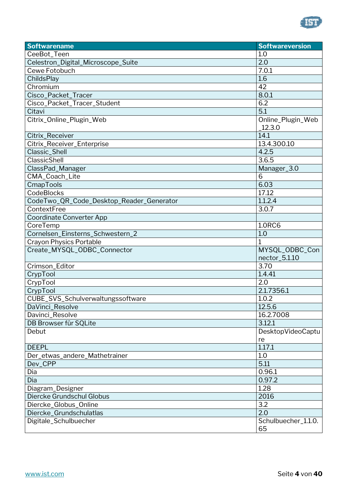

| <b>Softwarename</b>                      | <b>Softwareversion</b> |
|------------------------------------------|------------------------|
| CeeBot_Teen                              | 1.0                    |
| Celestron_Digital_Microscope_Suite       | 2.0                    |
| Cewe Fotobuch                            | 7.0.1                  |
| ChildsPlay                               | 1.6                    |
| Chromium                                 | 42                     |
| Cisco_Packet_Tracer                      | 8.0.1                  |
| Cisco_Packet_Tracer_Student              | 6.2                    |
| Citavi                                   | 5.1                    |
| Citrix_Online_Plugin_Web                 | Online_Plugin_Web      |
|                                          | 12.3.0                 |
| Citrix_Receiver                          | 14.1                   |
| Citrix_Receiver_Enterprise               | 13.4.300.10            |
| Classic_Shell                            | 4.2.5                  |
| ClassicShell                             | 3.6.5                  |
| ClassPad_Manager                         | Manager_3.0            |
| CMA_Coach_Lite                           | 6                      |
| CmapTools                                | 6.03                   |
| <b>CodeBlocks</b>                        | 17.12                  |
| CodeTwo_QR_Code_Desktop_Reader_Generator | 1.1.2.4                |
| ContextFree                              | 3.0.7                  |
| Coordinate Converter App                 |                        |
| CoreTemp                                 | <b>1.0RC6</b>          |
| Cornelsen_Einsterns_Schwestern_2         | 1.0                    |
| Crayon Physics Portable                  | $\mathbf{1}$           |
| Create_MYSQL_ODBC_Connector              | MYSQL_ODBC_Con         |
|                                          | nector_5.1.10          |
| Crimson_Editor                           | 3.70                   |
| CrypTool                                 | 1.4.41                 |
| CrypTool                                 | 2.0                    |
| CrypTool                                 | 2.1.7356.1             |
| CUBE_SVS_Schulverwaltungssoftware        | 1.0.2                  |
| DaVinci_Resolve                          | 12.5.6                 |
| Davinci_Resolve                          | 16.2.7008              |
| DB Browser für SQLite                    | 3.12.1                 |
| Debut                                    | DesktopVideoCaptu      |
|                                          | re                     |
| <b>DEEPL</b>                             | 1.17.1                 |
| Der_etwas_andere_Mathetrainer            | 1.0                    |
| Dev CPP                                  | 5.11                   |
| Dia                                      | 0.96.1                 |
| Dia                                      | 0.97.2                 |
| Diagram_Designer                         | 1.28                   |
| Diercke Grundschul Globus                | 2016                   |
| Diercke_Globus_Online                    | 3.2                    |
| Diercke_Grundschulatlas                  | 2.0                    |
| Digitale_Schulbuecher                    | Schulbuecher_1.1.0.    |
|                                          | 65                     |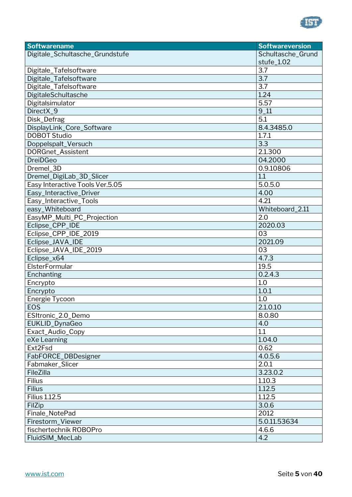

| <b>Softwarename</b>             | <b>Softwareversion</b> |
|---------------------------------|------------------------|
| Digitale_Schultasche_Grundstufe | Schultasche_Grund      |
|                                 | stufe_1.02             |
| Digitale_Tafelsoftware          | 3.7                    |
| Digitale_Tafelsoftware          | 3.7                    |
| Digitale_Tafelsoftware          | 3.7                    |
| DigitaleSchultasche             | 1.24                   |
| Digitalsimulator                | 5.57                   |
| DirectX_9                       | $9_11$                 |
| Disk_Defrag                     | 5.1                    |
| DisplayLink_Core_Software       | 8.4.3485.0             |
| <b>DOBOT Studio</b>             | 1.7.1                  |
| Doppelspalt_Versuch             | 3.3                    |
| <b>DORGnet_Assistent</b>        | 2.1.300                |
| <b>DreiDGeo</b>                 | 04.2000                |
| Dremel_3D                       | 0.9.10806              |
| Dremel_DigiLab_3D_Slicer        | 1.1                    |
| Easy Interactive Tools Ver.5.05 | 5.0.5.0                |
| Easy_Interactive_Driver         | 4.00                   |
| Easy_Interactive_Tools          | 4.21                   |
| easy_Whiteboard                 | Whiteboard_2.11        |
| EasyMP_Multi_PC_Projection      | 2.0                    |
| Eclipse_CPP_IDE                 | 2020.03                |
| Eclipse_CPP_IDE_2019            | 03                     |
| Eclipse_JAVA_IDE                | 2021.09                |
| Eclipse_JAVA_IDE_2019           | 03                     |
| Eclipse_x64                     | 4.7.3                  |
| ElsterFormular                  | 19.5                   |
| Enchanting                      | 0.2.4.3                |
| Encrypto                        | 1.0                    |
| Encrypto                        | 1.0.1                  |
| Energie Tycoon                  | 1.0                    |
| EOS                             | 2.1.0.10               |
| ESItronic_2.0_Demo              | 8.0.80                 |
| EUKLID_DynaGeo                  | 4.0                    |
| Exact_Audio_Copy                | 1.1                    |
| eXe Learning                    | 1.04.0                 |
| Ext2Fsd                         | 0.62                   |
| FabFORCE_DBDesigner             | 4.0.5.6                |
| Fabmaker_Slicer                 | 2.0.1                  |
| FileZilla                       | 3.23.0.2               |
| Filius                          | 1.10.3                 |
| <b>Filius</b>                   | 1.12.5                 |
| <b>Filius 1.12.5</b>            | 1.12.5                 |
| FilZip                          | 3.0.6                  |
| Finale_NotePad                  | 2012                   |
| Firestorm_Viewer                | 5.0.11.53634           |
| fischertechnik ROBOPro          | 4.6.6                  |
| FluidSIM_MecLab                 | 4.2                    |
|                                 |                        |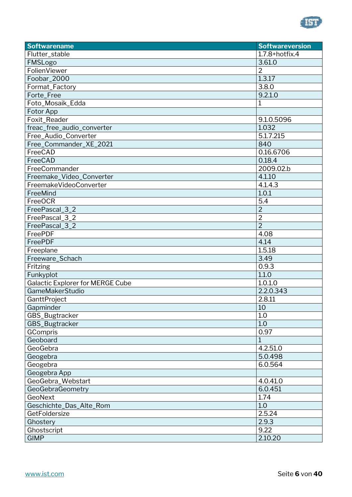

| <b>Softwarename</b>                     | <b>Softwareversion</b> |
|-----------------------------------------|------------------------|
| Flutter_stable                          | $1.7.8 +$ hotfix.4     |
| FMSLogo                                 | 3.61.0                 |
| FolienViewer                            | $\overline{2}$         |
| Foobar_2000                             | 1.3.17                 |
| Format_Factory                          | 3.8.0                  |
| Forte_Free                              | 9.2.1.0                |
| Foto_Mosaik_Edda                        | 1                      |
| Fotor App                               |                        |
| Foxit_Reader                            | 9.1.0.5096             |
| freac_free_audio_converter              | 1.032                  |
| Free_Audio_Converter                    | 5.1.7.215              |
| Free_Commander_XE_2021                  | 840                    |
| FreeCAD                                 | 0.16.6706              |
| FreeCAD                                 | 0.18.4                 |
| FreeCommander                           | 2009.02.b              |
| Freemake_Video_Converter                | 4.1.10                 |
| FreemakeVideoConverter                  | 4.1.4.3                |
| FreeMind                                | 1.0.1                  |
| FreeOCR                                 | 5.4                    |
| FreePascal_3_2                          | $\overline{2}$         |
| FreePascal_3_2                          | $\overline{2}$         |
| FreePascal_3_2                          | $\overline{2}$         |
| FreePDF                                 | 4.08                   |
| FreePDF                                 | 4.14                   |
| Freeplane                               | 1.5.18                 |
| Freeware_Schach                         | 3.49                   |
| Fritzing                                | 0.9.3                  |
| Funkyplot                               | 1.1.0                  |
| <b>Galactic Explorer for MERGE Cube</b> | 1.0.1.0                |
| <b>GameMakerStudio</b>                  | 2.2.0.343              |
| GanttProject                            | 2.8.11                 |
| Gapminder                               | 10                     |
| GBS_Bugtracker                          | 1.0                    |
| GBS_Bugtracker                          | 1.0                    |
| GCompris                                | 0.97                   |
| Geoboard                                | 1                      |
| GeoGebra                                | 4.2.51.0               |
| Geogebra                                | 5.0.498                |
| Geogebra                                | 6.0.564                |
| Geogebra App                            |                        |
| GeoGebra_Webstart                       | 4.0.41.0               |
| GeoGebraGeometry                        | 6.0.451                |
| GeoNext                                 | 1.74                   |
| Geschichte_Das_Alte_Rom                 | 1.0                    |
| GetFoldersize                           | 2.5.24                 |
| Ghostery                                | 2.9.3                  |
| Ghostscript                             | 9.22                   |
| <b>GIMP</b>                             | 2.10.20                |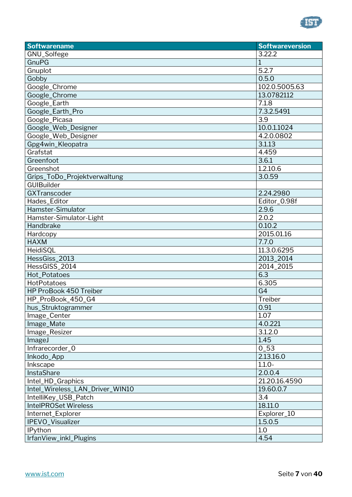

| <b>Softwarename</b>             | <b>Softwareversion</b> |
|---------------------------------|------------------------|
| GNU_Solfege                     | 3.22.2                 |
| GnuPG                           | $\overline{1}$         |
| Gnuplot                         | 5.2.7                  |
| Gobby                           | 0.5.0                  |
| Google_Chrome                   | 102.0.5005.63          |
| Google_Chrome                   | 13.0782112             |
| Google_Earth                    | 7.1.8                  |
| Google_Earth_Pro                | 7.3.2.5491             |
| Google_Picasa                   | 3.9                    |
| Google_Web_Designer             | 10.0.1.1024            |
| Google_Web_Designer             | 4.2.0.0802             |
| Gpg4win_Kleopatra               | 3.1.13                 |
| Grafstat                        | 4.459                  |
| Greenfoot                       | 3.6.1                  |
| Greenshot                       | 1.2.10.6               |
| Grips_ToDo_Projektverwaltung    | 3.0.59                 |
| <b>GUIBuilder</b>               |                        |
| GXTranscoder                    | 2.24.2980              |
| Hades_Editor                    | Editor_0.98f           |
| Hamster-Simulator               | 2.9.6                  |
| Hamster-Simulator-Light         | 2.0.2                  |
| Handbrake                       | 0.10.2                 |
| Hardcopy                        | 2015.01.16             |
| <b>HAXM</b>                     | 7.7.0                  |
| HeidiSQL                        | 11.3.0.6295            |
| HessGiss_2013                   | 2013_2014              |
| HessGISS_2014                   | 2014_2015              |
| Hot_Potatoes                    | 6.3                    |
| <b>HotPotatoes</b>              | 6.305                  |
| HP ProBook 450 Treiber          | G <sub>4</sub>         |
| HP_ProBook_450_G4               | Treiber                |
| hus_Struktogrammer              | 0.91                   |
| Image_Center                    | 1.07                   |
| Image_Mate                      | 4.0.221                |
| Image_Resizer                   | 3.1.2.0                |
| ImageJ                          | 1.45                   |
| Infrarecorder_0                 | $0_{-}53$              |
| Inkodo_App                      | 2.13.16.0              |
| Inkscape                        | $1.1.0 -$              |
| <b>InstaShare</b>               | 2.0.0.4                |
| Intel_HD_Graphics               | 21.20.16.4590          |
| Intel_Wireless_LAN_Driver_WIN10 | 19.60.0.7              |
| IntelliKey_USB_Patch            | 3.4                    |
| <b>IntelPROSet Wireless</b>     | 18.11.0                |
| Internet_Explorer               | Explorer_10            |
| IPEVO_Visualizer                | 1.5.0.5                |
| <b>IPython</b>                  | 1.0                    |
| IrfanView_inkl_Plugins          | 4.54                   |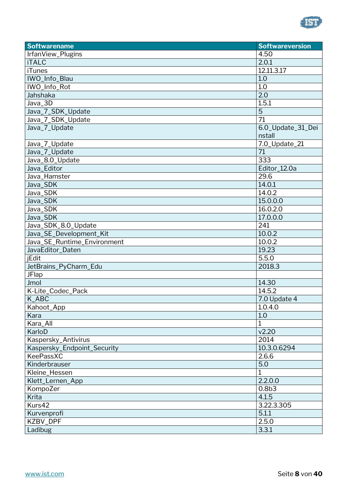

| <b>Softwarename</b>         | <b>Softwareversion</b> |
|-----------------------------|------------------------|
| IrfanView_Plugins           | 4.50                   |
| <b>iTALC</b>                | 2.0.1                  |
| <b>iTunes</b>               | 12.11.3.17             |
| IWO_Info_Blau               | 1.0                    |
| IWO_Info_Rot                | 1.0                    |
| Jahshaka                    | 2.0                    |
| Java_3D                     | 1.5.1                  |
| Java_7_SDK_Update           | 5                      |
| Java_7_SDK_Update           | $\overline{71}$        |
| Java_7_Update               | 6.0_Update_31_Dei      |
|                             | nstall                 |
| Java_7_Update               | 7.0_Update_21          |
| Java_7_Update               | 71                     |
| Java_8.0_Update             | 333                    |
| Java_Editor                 | Editor_12.0a           |
| Java_Hamster                | 29.6                   |
| Java_SDK                    | 14.0.1                 |
| Java_SDK                    | 14.0.2                 |
| Java_SDK                    | 15.0.0.0               |
| Java_SDK                    | 16.0.2.0               |
| Java_SDK                    | 17.0.0.0               |
| Java_SDK_8.0_Update         | 241                    |
| Java_SE_Development_Kit     | 10.0.2                 |
| Java_SE_Runtime_Environment | 10.0.2                 |
| JavaEditor_Daten            | 19.23                  |
| <b>iEdit</b>                | 5.5.0                  |
| JetBrains_PyCharm_Edu       | 2018.3                 |
| <b>JFlap</b>                |                        |
| Jmol                        | 14.30                  |
| K-Lite_Codec_Pack           | 14.5.2                 |
| K_ABC                       | 7.0 Update 4           |
| Kahoot_App                  | 1.0.4.0                |
| Kara                        | 1.0                    |
| Kara_All                    | $\mathbf{1}$           |
| KarloD                      | v2.20                  |
| Kaspersky_Antivirus         | 2014                   |
| Kaspersky_Endpoint_Security | 10.3.0.6294            |
| KeePassXC                   | 2.6.6                  |
| Kinderbrauser               | 5.0                    |
| Kleine_Hessen               | 1                      |
| Klett_Lernen_App            | 2.2.0.0                |
| KompoZer                    | 0.8 <sub>b3</sub>      |
| Krita                       | 4.1.5                  |
| Kurs42                      | 3.22.3.305             |
| Kurvenprofi                 | 5.1.1                  |
| KZBV_DPF                    | 2.5.0                  |
| Ladibug                     | 3.3.1                  |
|                             |                        |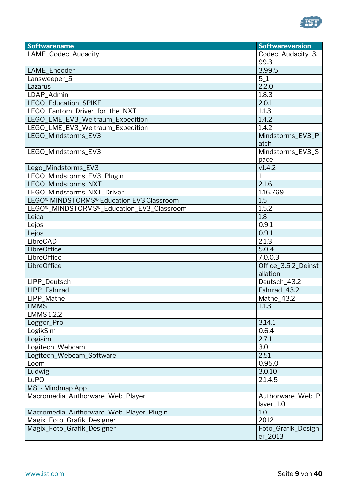

| <b>Softwarename</b>                                                 | <b>Softwareversion</b> |
|---------------------------------------------------------------------|------------------------|
| LAME_Codec_Audacity                                                 | Codec_Audacity_3.      |
|                                                                     | 99.3                   |
| LAME_Encoder                                                        | 3.99.5                 |
| Lansweeper_5                                                        | $5_1$                  |
| Lazarus                                                             | 2.2.0                  |
| LDAP_Admin                                                          | 1.8.3                  |
| LEGO_Education_SPIKE                                                | 2.0.1                  |
| LEGO_Fantom_Driver_for_the_NXT                                      | 1.1.3                  |
| LEGO_LME_EV3_Weltraum_Expedition                                    | 1.4.2                  |
| LEGO_LME_EV3_Weltraum_Expedition                                    | 1.4.2                  |
| LEGO_Mindstorms_EV3                                                 | Mindstorms_EV3_P       |
|                                                                     | atch                   |
| LEGO_Mindstorms_EV3                                                 | Mindstorms_EV3_S       |
|                                                                     | pace                   |
| Lego_Mindstorms_EV3                                                 | v1.4.2                 |
| LEGO_Mindstorms_EV3_Plugin                                          | $\mathbf 1$            |
| LEGO_Mindstorms_NXT                                                 | 2.1.6                  |
| LEGO_Mindstorms_NXT_Driver                                          | 1.16.769               |
| LEGO <sup>®</sup> MINDSTORMS <sup>®</sup> Education EV3 Classroom   | 1.5                    |
| LEGO <sup>®</sup> _MINDSTORMS <sup>®</sup> _Education_EV3_Classroom | 1.5.2                  |
| Leica                                                               | 1.8                    |
| Lejos                                                               | 0.9.1                  |
| Lejos                                                               | 0.9.1                  |
| LibreCAD                                                            | 2.1.3                  |
| LibreOffice                                                         | 5.0.4                  |
| LibreOffice                                                         | 7.0.0.3                |
| LibreOffice                                                         | Office_3.5.2_Deinst    |
|                                                                     | allation               |
| LIPP_Deutsch                                                        | Deutsch_43.2           |
| <b>LIPP Fahrrad</b>                                                 | Fahrrad 43.2           |
| LIPP_Mathe                                                          | Mathe_43.2             |
| <b>LMMS</b>                                                         | 1.1.3                  |
| <b>LMMS 1.2.2</b>                                                   |                        |
| Logger_Pro                                                          | 3.14.1                 |
| LogikSim                                                            | 0.6.4                  |
| Logisim                                                             | 2.7.1                  |
| Logitech_Webcam                                                     | 3.0                    |
| Logitech_Webcam_Software                                            | 2.51                   |
| Loom                                                                | 0.95.0                 |
| Ludwig                                                              | 3.0.10                 |
| <b>LuPO</b>                                                         | 2.1.4.5                |
| M8! - Mindmap App                                                   |                        |
| Macromedia_Authorware_Web_Player                                    | Authorware_Web_P       |
|                                                                     | layer_1.0              |
| Macromedia_Authorware_Web_Player_Plugin                             | 1.0                    |
| Magix_Foto_Grafik_Designer                                          | 2012                   |
| Magix_Foto_Grafik_Designer                                          | Foto_Grafik_Design     |
|                                                                     | er_2013                |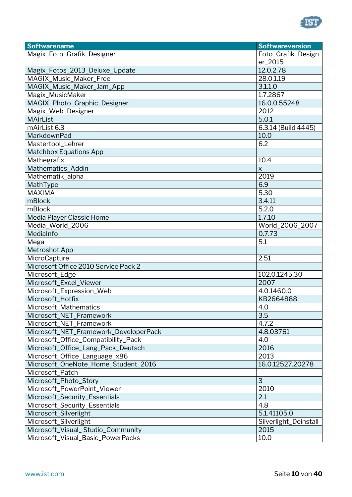

| <b>Softwarename</b>                   | <b>Softwareversion</b> |
|---------------------------------------|------------------------|
| Magix_Foto_Grafik_Designer            | Foto_Grafik_Design     |
|                                       | er_2015                |
| Magix_Fotos_2013_Deluxe_Update        | 12.0.2.78              |
| MAGIX_Music_Maker_Free                | 28.0.1.19              |
| MAGIX_Music_Maker_Jam_App             | 3.1.1.0                |
| Magix_MusicMaker                      | 1.7.2867               |
| MAGIX_Photo_Graphic_Designer          | 16.0.0.55248           |
| Magix_Web_Designer                    | 2012                   |
| <b>MAirList</b>                       | 5.0.1                  |
| mAirList 6.3                          | 6.3.14 (Build 4445)    |
| MarkdownPad                           | 10.0                   |
| Mastertool_Lehrer                     | 6.2                    |
| <b>Matchbox Equations App</b>         |                        |
| Mathegrafix                           | 10.4                   |
| Mathematics_Addin                     | $\pmb{\mathsf{X}}$     |
| Mathematik_alpha                      | 2019                   |
| MathType                              | 6.9                    |
| <b>MAXIMA</b>                         | 5.30                   |
| mBlock                                | 3.4.11                 |
| mBlock                                | 5.2.0                  |
| Media Player Classic Home             | 1.7.10                 |
| Media_World_2006                      | World_2006_2007        |
| MediaInfo                             | 0.7.73                 |
| Mega                                  | 5.1                    |
| <b>Metroshot App</b>                  |                        |
| MicroCapture                          | 2.51                   |
| Microsoft Office 2010 Service Pack 2  |                        |
| Microsoft_Edge                        | 102.0.1245.30          |
| Microsoft_Excel_Viewer                | 2007                   |
| Microsoft_Expression_Web              | 4.0.1460.0             |
| Microsoft_Hotfix                      | KB2664888              |
| Microsoft_Mathematics                 | 4.0                    |
| Microsoft_NET_Framework               | 3.5                    |
| Microsoft_NET_Framework               | 4.7.2                  |
| Microsoft_NET_Framework_DeveloperPack | 4.8.03761              |
| Microsoft_Office_Compatibility_Pack   | 4.0                    |
| Microsoft_Office_Lang_Pack_Deutsch    | 2016                   |
| Microsoft_Office_Language_x86         | 2013                   |
| Microsoft_OneNote_Home_Student_2016   | 16.0.12527.20278       |
| Microsoft_Patch                       |                        |
| Microsoft_Photo_Story                 | 3                      |
| Microsoft_PowerPoint_Viewer           | 2010                   |
| Microsoft_Security_Essentials         | 2.1                    |
| Microsoft_Security_Essentials         | 4.8                    |
| Microsoft_Silverlight                 | 5.1.41105.0            |
| Microsoft_Silverlight                 | Silverlight_Deinstall  |
| Microsoft_Visual_Studio_Community     | 2015                   |
| Microsoft_Visual_Basic_PowerPacks     | 10.0                   |
|                                       |                        |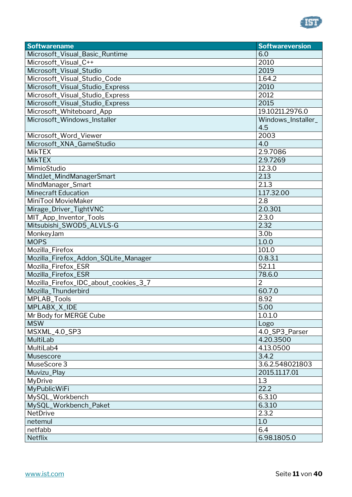

| <b>Softwarename</b>                   | <b>Softwareversion</b> |
|---------------------------------------|------------------------|
| Microsoft_Visual_Basic_Runtime        | 6.0                    |
| Microsoft_Visual_C++                  | 2010                   |
| Microsoft_Visual_Studio               | 2019                   |
| Microsoft_Visual_Studio_Code          | 1.64.2                 |
| Microsoft_Visual_Studio_Express       | 2010                   |
| Microsoft_Visual_Studio_Express       | 2012                   |
| Microsoft_Visual_Studio_Express       | 2015                   |
| Microsoft_Whiteboard_App              | 19.10211.2976.0        |
| Microsoft_Windows_Installer           | Windows_Installer_     |
|                                       | 4.5                    |
| Microsoft_Word_Viewer                 | 2003                   |
| Microsoft_XNA_GameStudio              | 4.0                    |
| <b>MikTEX</b>                         | 2.9.7086               |
| <b>MikTEX</b>                         | 2.9.7269               |
| MimioStudio                           | 12.3.0                 |
| MindJet_MindManagerSmart              | 2.13                   |
| MindManager_Smart                     | 2.1.3                  |
| <b>Minecraft Education</b>            | 1.17.32.00             |
| MiniTool MovieMaker                   | 2.8                    |
| Mirage_Driver_TightVNC                | 2.0.301                |
| MIT_App_Inventor_Tools                | 2.3.0                  |
| Mitsubishi_SWOD5_ALVLS-G              | 2.32                   |
| MonkeyJam                             | 3.0 <sub>b</sub>       |
| <b>MOPS</b>                           | 1.0.0                  |
| Mozilla_Firefox                       | 101.0                  |
| Mozilla_Firefox_Addon_SQLite_Manager  | 0.8.3.1                |
| Mozilla_Firefox_ESR                   | 52.1.1                 |
| Mozilla_Firefox_ESR                   | 78.6.0                 |
| Mozilla_Firefox_IDC_about_cookies_3_7 | $\overline{2}$         |
| Mozilla_Thunderbird                   | 60.7.0                 |
| MPLAB_Tools                           | 8.92                   |
| MPLABX_X_IDE                          | 5.00                   |
| Mr Body for MERGE Cube                | 1.0.1.0                |
| <b>MSW</b>                            | Logo                   |
| MSXML_4.0_SP3                         | 4.0_SP3_Parser         |
| MultiLab                              | 4.20.3500              |
| MultiLab4                             | 4.13.0500              |
| <b>Musescore</b>                      | 3.4.2                  |
| MuseScore 3                           | 3.6.2.548021803        |
| Muvizu_Play                           | 2015.11.17.01          |
| <b>MyDrive</b>                        | 1.3                    |
| <b>MyPublicWiFi</b>                   | 22.2                   |
| MySQL_Workbench                       | 6.3.10                 |
| MySQL_Workbench_Paket                 | 6.3.10                 |
| <b>NetDrive</b>                       | 2.3.2                  |
| netemul                               | 1.0                    |
| netfabb                               | 6.4                    |
| <b>Netflix</b>                        | 6.98.1805.0            |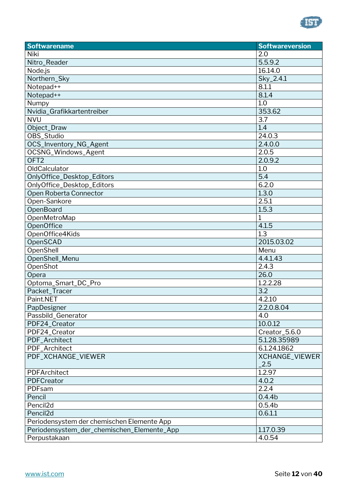

| <b>Softwarename</b>                        | <b>Softwareversion</b> |
|--------------------------------------------|------------------------|
| Niki                                       | 2.0                    |
| Nitro_Reader                               | 5.5.9.2                |
| Node.js                                    | 16.14.0                |
| Northern_Sky                               | Sky_2.4.1              |
| Notepad++                                  | 8.1.1                  |
| Notepad++                                  | 8.1.4                  |
| Numpy                                      | 1.0                    |
| Nvidia_Grafikkartentreiber                 | 353.62                 |
| <b>NVU</b>                                 | 3.7                    |
| Object_Draw                                | 1.4                    |
| OBS_Studio                                 | 24.0.3                 |
| OCS_Inventory_NG_Agent                     | 2.4.0.0                |
| OCSNG_Windows_Agent                        | 2.0.5                  |
| OFT <sub>2</sub>                           | 2.0.9.2                |
| OldCalculator                              | 1.0                    |
| OnlyOffice_Desktop_Editors                 | 5.4                    |
| OnlyOffice_Desktop_Editors                 | 6.2.0                  |
| Open Roberta Connector                     | 1.3.0                  |
| Open-Sankore                               | 2.5.1                  |
| OpenBoard                                  | 1.5.3                  |
| OpenMetroMap                               | $\mathbf{1}$           |
| <b>OpenOffice</b>                          | 4.1.5                  |
| OpenOffice4Kids                            | 1.3                    |
| OpenSCAD                                   | 2015.03.02             |
| OpenShell                                  | Menu                   |
| OpenShell_Menu                             | 4.4.1.43               |
| OpenShot                                   | 2.4.3                  |
| Opera                                      | 26.0                   |
| Optoma_Smart_DC_Pro                        | 1.2.2.28               |
| Packet_Tracer                              | 3.2                    |
| Paint.NET                                  | 4.2.10                 |
| PapDesigner                                | 2.2.0.8.04             |
| Passbild_Generator                         | 4.0                    |
| PDF24_Creator                              | 10.0.12                |
| PDF24_Creator                              | Creator_5.6.0          |
| PDF_Architect                              | 5.1.28.35989           |
| PDF_Architect                              | 6.1.24.1862            |
| PDF_XCHANGE_VIEWER                         | XCHANGE_VIEWER         |
|                                            | 2.5                    |
| PDFArchitect                               | 1.2.97                 |
| PDFCreator                                 | 4.0.2                  |
| PDFsam                                     | 2.2.4                  |
| Pencil                                     | 0.4.4 <sub>b</sub>     |
| Pencil <sub>2d</sub>                       | 0.5.4 <sub>b</sub>     |
| Pencil <sub>2d</sub>                       | 0.6.1.1                |
| Periodensystem der chemischen Elemente App |                        |
| Periodensystem_der_chemischen_Elemente_App | 1.17.0.39              |
| Perpustakaan                               | 4.0.54                 |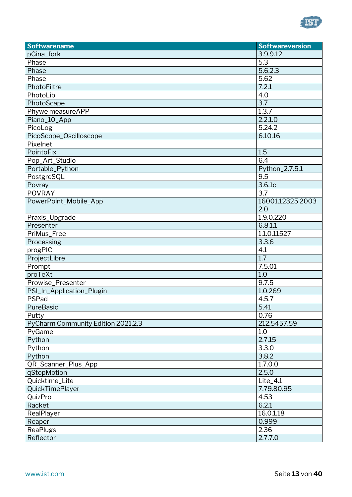

| <b>Softwarename</b>                | <b>Softwareversion</b> |
|------------------------------------|------------------------|
| pGina_fork                         | 3.9.9.12               |
| Phase                              | 5.3                    |
| Phase                              | 5.6.2.3                |
| Phase                              | 5.62                   |
| PhotoFiltre                        | 7.2.1                  |
| PhotoLib                           | 4.0                    |
| PhotoScape                         | 3.7                    |
| Phywe measureAPP                   | 1.3.7                  |
| Piano_10_App                       | 2.2.1.0                |
| PicoLog                            | 5.24.2                 |
| PicoScope_Oscilloscope             | 6.10.16                |
| Pixelnet                           |                        |
| PointoFix                          | 1.5                    |
| Pop_Art_Studio                     | 6.4                    |
| Portable_Python                    | Python_2.7.5.1         |
| PostgreSQL                         | 9.5                    |
| Povray                             | 3.6.1c                 |
| <b>POVRAY</b>                      | 3.7                    |
| PowerPoint_Mobile_App              | 16001.12325.2003       |
|                                    | 2.0                    |
| Praxis_Upgrade                     | 1.9.0.220              |
| Presenter                          | 6.8.1.1                |
| PriMus_Free                        | 1.1.0.11527            |
| Processing                         | 3.3.6                  |
| progPIC                            | 4.1                    |
| ProjectLibre                       | 1.7                    |
| Prompt                             | 7.5.01                 |
| proTeXt                            | 1.0                    |
| Prowise_Presenter                  | 9.7.5                  |
| PSI_In_Application_Plugin          | 1.0.269                |
| PSPad                              | 4.5.7                  |
| PureBasic                          | 5.41                   |
| Putty                              | 0.76                   |
| PyCharm Community Edition 2021.2.3 | 212.5457.59            |
| PyGame                             | 1.0                    |
| Python                             | 2.7.15                 |
| Python                             | 3.3.0                  |
| Python                             | 3.8.2                  |
| QR_Scanner_Plus_App                | 1.7.0.0                |
| qStopMotion                        | 2.5.0                  |
| Quicktime_Lite                     | $Life_4.1$             |
| <b>QuickTimePlayer</b>             | 7.79.80.95             |
| QuizPro                            | 4.53                   |
| Racket                             | 6.2.1                  |
| RealPlayer                         | 16.0.1.18              |
| Reaper                             | 0.999                  |
| <b>ReaPlugs</b>                    | 2.36                   |
| Reflector                          | 2.7.7.0                |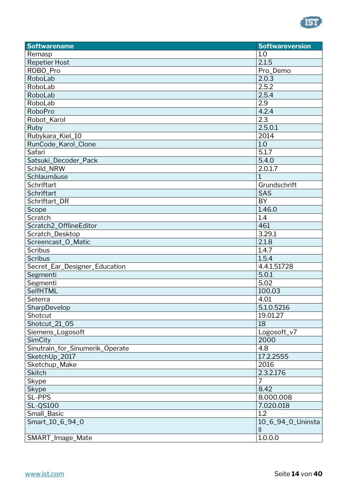

| <b>Softwarename</b>             | <b>Softwareversion</b>             |
|---------------------------------|------------------------------------|
| Remasp                          | 1.0                                |
| <b>Repetier Host</b>            | 2.1.5                              |
| ROBO_Pro                        | Pro_Demo                           |
| RoboLab                         | 2.0.3                              |
| RoboLab                         | 2.5.2                              |
| RoboLab                         | 2.5.4                              |
| RoboLab                         | 2.9                                |
| RoboPro                         | 4.2.4                              |
| Robot_Karol                     | 2.3                                |
| Ruby                            | 2.5.0.1                            |
| Rubykara_Kiel_10                | 2014                               |
| RunCode_Karol_Clone             | 1.0                                |
| Safari                          | 5.1.7                              |
| Satsuki_Decoder_Pack            | 5.4.0                              |
| Schild_NRW                      | 2.0.1.7                            |
| Schlaumäuse                     | $\mathbf 1$                        |
| <b>Schriftart</b>               | Grundschrift                       |
| Schriftart                      | SAS                                |
| Schriftart DR                   | <b>BY</b>                          |
| Scope                           | 1.46.0                             |
| Scratch                         | 1.4                                |
| Scratch2_OfflineEditor          | 461                                |
| Scratch_Desktop                 | 3.29.1                             |
| Screencast_O_Matic              | 2.1.8                              |
| <b>Scribus</b>                  | 1.4.7                              |
| <b>Scribus</b>                  | 1.5.4                              |
| Secret_Ear_Designer_Education   | 4.4.1.51728                        |
| Segmenti                        | 5.0.1                              |
| Segmenti                        | 5.02                               |
| <b>SelfHTML</b>                 | 100.03                             |
| Seterra                         | 4.01                               |
| SharpDevelop                    | 5.1.0.5216                         |
| Shotcut                         | 19.01.27                           |
| Shotcut_21_05                   | 18                                 |
| Siemens_Logosoft                | Logosoft_v7                        |
| SimCity                         | 2000                               |
| Sinutrain_for_Sinumerik_Operate | 4.8                                |
| SketchUp_2017                   | 17.2.2555                          |
| Sketchup_Make                   | 2016                               |
| <b>Skitch</b>                   | 2.3.2.176                          |
| Skype                           | 7                                  |
| Skype                           | 8.42                               |
| <b>SL-PPS</b>                   | 8.000.008                          |
| <b>SL-QS100</b>                 | 7.020.018                          |
| Small_Basic                     | 1.2                                |
| Smart_10_6_94_0                 | 10_6_94_0_Uninsta<br>$\mathsf{II}$ |
| SMART_Image_Mate                | 1.0.0.0                            |
|                                 |                                    |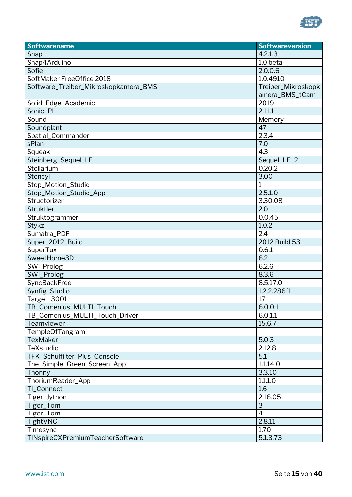

| <b>Softwarename</b>                  | <b>Softwareversion</b> |
|--------------------------------------|------------------------|
| Snap                                 | 4.2.1.3                |
| Snap4Arduino                         | 1.0 beta               |
| Sofie                                | 2.0.0.6                |
| SoftMaker FreeOffice 2018            | 1.0.4910               |
| Software_Treiber_Mikroskopkamera_BMS | Treiber_Mikroskopk     |
|                                      | amera_BMS_tCam         |
| Solid_Edge_Academic                  | 2019                   |
| Sonic_PI                             | 2.11.1                 |
| Sound                                | Memory                 |
| Soundplant                           | 47                     |
| Spatial_Commander                    | 2.3.4                  |
| sPlan                                | $\overline{7.0}$       |
| Squeak                               | 4.3                    |
| Steinberg_Sequel_LE                  | Sequel_LE_2            |
| Stellarium                           | 0.20.2                 |
| Stencyl                              | 3.00                   |
| Stop_Motion_Studio                   | 1                      |
| Stop_Motion_Studio_App               | 2.5.1.0                |
| Structorizer                         | 3.30.08                |
| Struktler                            | 2.0                    |
| Struktogrammer                       | 0.0.45                 |
| Stykz                                | 1.0.2                  |
| Sumatra_PDF                          | 2.4                    |
| Super_2012_Build                     | 2012 Build 53          |
| <b>SuperTux</b>                      | 0.6.1                  |
| SweetHome3D                          | 6.2                    |
| SWI-Prolog                           | 6.2.6                  |
| SWI_Prolog                           | 8.3.6                  |
| SyncBackFree                         | 8.5.17.0               |
| Synfig_Studio                        | 1.2.2.286f1            |
| Target_3001                          | 17                     |
| TB_Comenius_MULTI_Touch              | 6.0.0.1                |
| TB_Comenius_MULTI_Touch_Driver       | 6.0.1.1                |
| Teamviewer                           | 15.6.7                 |
| TempleOfTangram                      |                        |
| <b>TexMaker</b>                      | 5.0.3                  |
| TeXstudio                            | 2.12.8                 |
| TFK_Schulfilter_Plus_Console         | 5.1                    |
| The_Simple_Green_Screen_App          | 1.1.14.0               |
| Thonny                               | 3.3.10                 |
| ThoriumReader_App                    | 1.1.1.0                |
| TI_Connect                           | 1.6                    |
| Tiger_Jython                         | 2.16.05                |
| Tiger_Tom                            | 3                      |
| Tiger_Tom                            | $\overline{4}$         |
| TightVNC                             | 2.8.11                 |
| Timesync                             | 1.70                   |
| TINspireCXPremiumTeacherSoftware     | 5.1.3.73               |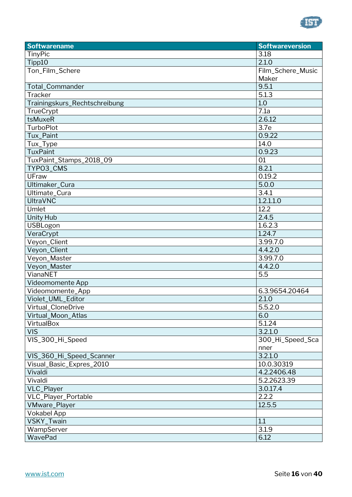

| <b>Softwarename</b>           | <b>Softwareversion</b> |
|-------------------------------|------------------------|
| TinyPic                       | 3.18                   |
| Tipp10                        | 2.1.0                  |
| Ton_Film_Schere               | Film_Schere_Music      |
|                               | Maker                  |
| Total_Commander               | 9.5.1                  |
| <b>Tracker</b>                | 5.1.3                  |
| Trainingskurs_Rechtschreibung | 1.0                    |
| TrueCrypt                     | 7.1a                   |
| tsMuxeR                       | 2.6.12                 |
| <b>TurboPlot</b>              | 3.7e                   |
| Tux_Paint                     | 0.9.22                 |
| Tux_Type                      | 14.0                   |
| <b>TuxPaint</b>               | 0.9.23                 |
| TuxPaint_Stamps_2018_09       | 01                     |
| TYPO3_CMS                     | 8.2.1                  |
| UFraw                         | 0.19.2                 |
| Ultimaker_Cura                | 5.0.0                  |
| Ultimate_Cura                 | 3.4.1                  |
| <b>UltraVNC</b>               | 1.2.1.1.0              |
| Umlet                         | 12.2                   |
| <b>Unity Hub</b>              | 2.4.5                  |
| USBLogon                      | 1.6.2.3                |
| VeraCrypt                     | 1.24.7                 |
| Veyon_Client                  | 3.99.7.0               |
| Veyon_Client                  | 4.4.2.0                |
| Veyon_Master                  | 3.99.7.0               |
| Veyon_Master                  | 4.4.2.0                |
| VianaNET                      | 5.5                    |
| Videomomente App              |                        |
| Videomomente_App              | 6.3.9654.20464         |
| Violet_UML_Editor             | 2.1.0                  |
| Virtual_CloneDrive            | $\overline{5.5.2.0}$   |
| Virtual_Moon_Atlas            | 6.0                    |
| VirtualBox                    | 5.1.24                 |
| <b>VIS</b>                    | 3.2.1.0                |
| VIS_300_Hi_Speed              | 300_Hi_Speed_Sca       |
|                               | nner                   |
| VIS_360_Hi_Speed_Scanner      | 3.2.1.0                |
| Visual_Basic_Expres_2010      | 10.0.30319             |
| Vivaldi                       | 4.2.2406.48            |
| Vivaldi                       | 5.2.2623.39            |
| VLC_Player                    | 3.0.17.4               |
| VLC_Player_Portable           | 2.2.2                  |
| <b>VMware_Player</b>          | 12.5.5                 |
| <b>Vokabel App</b>            |                        |
| VSKY_Twain                    | 1.1                    |
| WampServer                    | 3.1.9                  |
| WavePad                       | 6.12                   |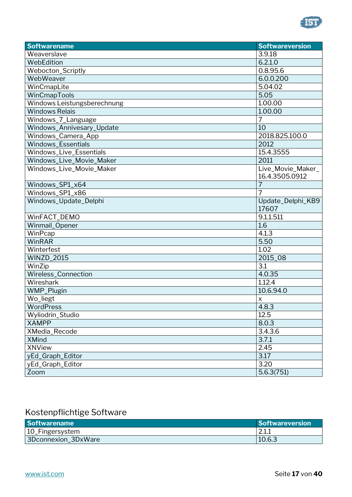

| <b>Softwarename</b>         | <b>Softwareversion</b>     |
|-----------------------------|----------------------------|
| Weaverslave                 | 3.9.18                     |
| WebEdition                  | 6.2.1.0                    |
| Webocton_Scriptly           | 0.8.95.6                   |
| WebWeaver                   | 6.0.0.200                  |
| WinCmapLite                 | 5.04.02                    |
| WinCmapTools                | 5.05                       |
| Windows Leistungsberechnung | 1.00.00                    |
| <b>Windows Relais</b>       | 1.00.00                    |
| Windows_7_Language          | 7                          |
| Windows_Annivesary_Update   | 10                         |
| Windows_Camera_App          | 2018.825.100.0             |
| Windows_Essentials          | 2012                       |
| Windows_Live_Essentials     | 15.4.3555                  |
| Windows_Live_Movie_Maker    | 2011                       |
| Windows_Live_Movie_Maker    | Live_Movie_Maker_          |
|                             | 16.4.3505.0912             |
| Windows_SP1_x64             | 7                          |
| Windows_SP1_x86             | 7                          |
| Windows_Update_Delphi       | Update_Delphi_KB9<br>17607 |
| WinFACT_DEMO                | 9.1.1.511                  |
| Winmail_Opener              | 1.6                        |
| WinPcap                     | 4.1.3                      |
| WinRAR                      | 5.50                       |
| Winterfest                  | 1.02                       |
| <b>WINZD_2015</b>           | 2015_08                    |
| WinZip                      | 3.1                        |
| Wireless_Connection         | 4.0.35                     |
| Wireshark                   | 1.12.4                     |
| <b>WMP_Plugin</b>           | 10.6.94.0                  |
| Wo_liegt                    | X                          |
| WordPress                   | 4.8.3                      |
| Wyliodrin_Studio            | 12.5                       |
| <b>XAMPP</b>                | 8.0.3                      |
| XMedia_Recode               | $3.4.3.\overline{6}$       |
| <b>XMind</b>                | 3.7.1                      |
| <b>XNView</b>               | 2.45                       |
| yEd_Graph_Editor            | 3.17                       |
| yEd_Graph_Editor            | 3.20                       |
| Zoom                        | 5.6.3(751)                 |

### <span id="page-16-0"></span>Kostenpflichtige Software

| <b>Softwarename</b> | Softwareversion        |
|---------------------|------------------------|
| 10_Fingersystem     | $^{\circ}$ 11<br>Z.I.I |
| 3Dconnexion_3DxWare | 10.6.3                 |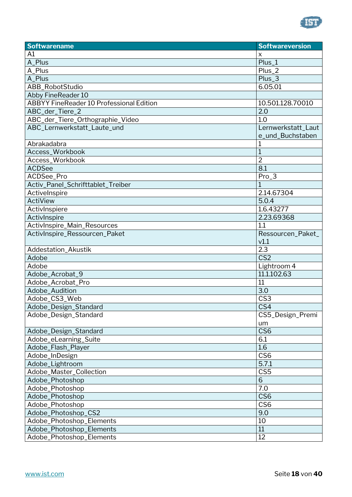

| <b>Softwarename</b>                             | <b>Softwareversion</b> |
|-------------------------------------------------|------------------------|
| A1                                              | X                      |
| A_Plus                                          | Plus_1                 |
| A_Plus                                          | $Plus_2$               |
| A_Plus                                          | $Plus_3$               |
| ABB_RobotStudio                                 | 6.05.01                |
| Abby FineReader 10                              |                        |
| <b>ABBYY FineReader 10 Professional Edition</b> | 10.501.128.70010       |
| ABC_der_Tiere_2                                 | 2.0                    |
| ABC_der_Tiere_Orthographie_Video                | 1.0                    |
| ABC_Lernwerkstatt_Laute_und                     | Lernwerkstatt_Laut     |
|                                                 | e_und_Buchstaben       |
| Abrakadabra                                     |                        |
| Access_Workbook                                 | 1                      |
| Access_Workbook                                 | $\overline{2}$         |
| <b>ACDSee</b>                                   | 8.1                    |
| ACDSee_Pro                                      | Pro_3                  |
| Activ_Panel_Schrifttablet_Treiber               | 1                      |
| ActiveInspire                                   | 2.14.67304             |
| <b>ActiView</b>                                 | 5.0.4                  |
| ActivInspiere                                   | 1.6.43277              |
| ActivInspire                                    | 2.23.69368             |
| ActivInspire_Main_Resources                     | 1.1                    |
| ActivInspire_Ressourcen_Paket                   | Ressourcen_Paket_      |
|                                                 | v1.1                   |
| Addestation_Akustik                             | 2.3                    |
| Adobe                                           | CS <sub>2</sub>        |
| Adobe                                           | Lightroom 4            |
| Adobe_Acrobat_9                                 | 11.1.102.63            |
| Adobe_Acrobat_Pro                               | 11                     |
| Adobe_Audition                                  | 3.0                    |
| Adobe_CS3_Web                                   | CS <sub>3</sub>        |
| Adobe_Design_Standard                           | CS4                    |
| Adobe_Design_Standard                           | CS5_Design_Premi       |
|                                                 | um                     |
| Adobe_Design_Standard                           | CS <sub>6</sub>        |
| Adobe_eLearning_Suite                           | 6.1                    |
| Adobe_Flash_Player                              | 1.6                    |
| Adobe_InDesign                                  | CS <sub>6</sub>        |
| Adobe_Lightroom                                 | 5.7.1                  |
| Adobe_Master_Collection                         | CS <sub>5</sub>        |
| Adobe_Photoshop                                 | 6                      |
| Adobe_Photoshop                                 | 7.0                    |
| Adobe_Photoshop                                 | CS <sub>6</sub>        |
| Adobe_Photoshop                                 | CS <sub>6</sub>        |
| Adobe_Photoshop_CS2                             | 9.0                    |
| Adobe_Photoshop_Elements                        | 10                     |
| Adobe_Photoshop_Elements                        | 11                     |
| Adobe_Photoshop_Elements                        | 12                     |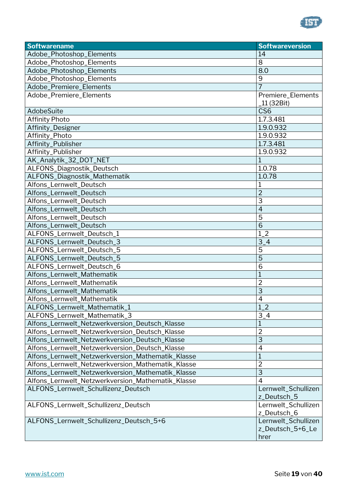

| <b>Softwarename</b>                               | <b>Softwareversion</b> |
|---------------------------------------------------|------------------------|
| Adobe_Photoshop_Elements                          | 14                     |
| Adobe_Photoshop_Elements                          | 8                      |
| Adobe_Photoshop_Elements                          | 8.0                    |
| Adobe_Photoshop_Elements                          | 9                      |
| Adobe_Premiere_Elements                           | $\overline{7}$         |
| Adobe_Premiere_Elements                           | Premiere_Elements      |
|                                                   | _11 (32Bit)            |
| AdobeSuite                                        | CS <sub>6</sub>        |
| <b>Affinity Photo</b>                             | 1.7.3.481              |
| Affinity_Designer                                 | 1.9.0.932              |
| Affinity_Photo                                    | 1.9.0.932              |
| Affinity_Publisher                                | 1.7.3.481              |
| Affinity_Publisher                                | 1.9.0.932              |
| AK_Analytik_32_DOT_NET                            | 1                      |
| ALFONS_Diagnostik_Deutsch                         | 1.0.78                 |
| ALFONS_Diagnostik_Mathematik                      | 1.0.78                 |
| Alfons_Lernwelt_Deutsch                           | 1                      |
| Alfons_Lernwelt_Deutsch                           | $\overline{2}$         |
| Alfons_Lernwelt_Deutsch                           | 3                      |
| Alfons_Lernwelt_Deutsch                           | $\overline{4}$         |
| Alfons_Lernwelt_Deutsch                           | 5                      |
| Alfons_Lernwelt_Deutsch                           | $\overline{6}$         |
| ALFONS_Lernwelt_Deutsch_1                         | $1_{-}2$               |
| ALFONS_Lernwelt_Deutsch_3                         | $3-4$                  |
| ALFONS_Lernwelt_Deutsch_5                         | 5                      |
| ALFONS_Lernwelt_Deutsch_5                         | $\overline{5}$         |
| ALFONS_Lernwelt_Deutsch_6                         | 6                      |
| Alfons_Lernwelt_Mathematik                        | $\overline{1}$         |
| Alfons_Lernwelt_Mathematik                        | $\overline{2}$         |
| Alfons_Lernwelt_Mathematik                        | $\overline{3}$         |
| Alfons_Lernwelt_Mathematik                        | 4                      |
| ALFONS_Lernwelt_Mathematik_1                      | $1_{-}2$               |
| ALFONS_Lernwelt_Mathematik_3                      | $3-4$                  |
| Alfons_Lernwelt_Netzwerkversion_Deutsch_Klasse    | 1                      |
| Alfons_Lernwelt_Netzwerkversion_Deutsch_Klasse    | $\overline{2}$         |
| Alfons_Lernwelt_Netzwerkversion_Deutsch_Klasse    | 3                      |
| Alfons_Lernwelt_Netzwerkversion_Deutsch_Klasse    | 4                      |
| Alfons_Lernwelt_Netzwerkversion_Mathematik_Klasse | 1                      |
| Alfons_Lernwelt_Netzwerkversion_Mathematik_Klasse | $\overline{2}$         |
| Alfons_Lernwelt_Netzwerkversion_Mathematik_Klasse | 3                      |
| Alfons_Lernwelt_Netzwerkversion_Mathematik_Klasse | $\overline{4}$         |
| ALFONS_Lernwelt_Schullizenz_Deutsch               | Lernwelt_Schullizen    |
|                                                   | z_Deutsch_5            |
| ALFONS_Lernwelt_Schullizenz_Deutsch               | Lernwelt_Schullizen    |
|                                                   | z_Deutsch_6            |
| ALFONS_Lernwelt_Schullizenz_Deutsch_5+6           | Lernwelt_Schullizen    |
|                                                   | z_Deutsch_5+6_Le       |
|                                                   | hrer                   |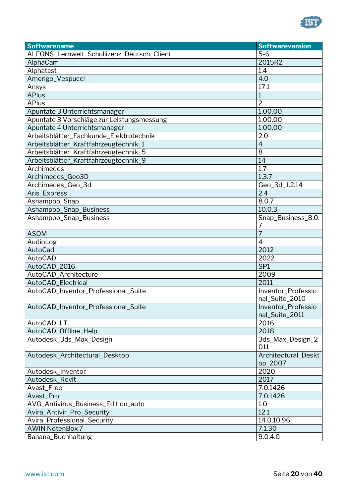

| ALFONS_Lernwelt_Schullizenz_Deutsch_Client<br>$5-6$<br>2015R2<br>AlphaCam<br>1.4<br>Alphatast<br>Amerigo_Vespucci<br>4.0<br>17.1<br>Ansys<br><b>APlus</b><br>$\mathbf{1}$<br><b>APlus</b><br>$\overline{2}$<br>1.00.00<br>Apuntate 3 Unterrichtsmanager<br>Apuntate 3 Vorschläge zur Leistungsmessung<br>1.00.00<br>1.00.00<br>Apuntate 4 Unterrichtsmanager<br>Arbeitsblätter_Fachkunde_Elektrotechnik<br>2.0<br>Arbeitsblätter_Kraftfahrzeugtechnik_1<br>$\overline{4}$<br>Arbeitsblätter_Kraftfahrzeugtechnik_5<br>8<br>Arbeitsblätter_Kraftfahrzeugtechnik_9<br>14<br>1.7<br>Archimedes<br>Archimedes_Geo3D<br>1.3.7<br>Archimedes_Geo_3d<br>Geo_3d_1.2.14<br>2.4<br>Aris_Express |
|---------------------------------------------------------------------------------------------------------------------------------------------------------------------------------------------------------------------------------------------------------------------------------------------------------------------------------------------------------------------------------------------------------------------------------------------------------------------------------------------------------------------------------------------------------------------------------------------------------------------------------------------------------------------------------------|
|                                                                                                                                                                                                                                                                                                                                                                                                                                                                                                                                                                                                                                                                                       |
|                                                                                                                                                                                                                                                                                                                                                                                                                                                                                                                                                                                                                                                                                       |
|                                                                                                                                                                                                                                                                                                                                                                                                                                                                                                                                                                                                                                                                                       |
|                                                                                                                                                                                                                                                                                                                                                                                                                                                                                                                                                                                                                                                                                       |
|                                                                                                                                                                                                                                                                                                                                                                                                                                                                                                                                                                                                                                                                                       |
|                                                                                                                                                                                                                                                                                                                                                                                                                                                                                                                                                                                                                                                                                       |
|                                                                                                                                                                                                                                                                                                                                                                                                                                                                                                                                                                                                                                                                                       |
|                                                                                                                                                                                                                                                                                                                                                                                                                                                                                                                                                                                                                                                                                       |
|                                                                                                                                                                                                                                                                                                                                                                                                                                                                                                                                                                                                                                                                                       |
|                                                                                                                                                                                                                                                                                                                                                                                                                                                                                                                                                                                                                                                                                       |
|                                                                                                                                                                                                                                                                                                                                                                                                                                                                                                                                                                                                                                                                                       |
|                                                                                                                                                                                                                                                                                                                                                                                                                                                                                                                                                                                                                                                                                       |
|                                                                                                                                                                                                                                                                                                                                                                                                                                                                                                                                                                                                                                                                                       |
|                                                                                                                                                                                                                                                                                                                                                                                                                                                                                                                                                                                                                                                                                       |
|                                                                                                                                                                                                                                                                                                                                                                                                                                                                                                                                                                                                                                                                                       |
|                                                                                                                                                                                                                                                                                                                                                                                                                                                                                                                                                                                                                                                                                       |
|                                                                                                                                                                                                                                                                                                                                                                                                                                                                                                                                                                                                                                                                                       |
|                                                                                                                                                                                                                                                                                                                                                                                                                                                                                                                                                                                                                                                                                       |
| Ashampoo_Snap<br>8.0.7                                                                                                                                                                                                                                                                                                                                                                                                                                                                                                                                                                                                                                                                |
| Ashampoo_Snap_Business<br>10.0.3                                                                                                                                                                                                                                                                                                                                                                                                                                                                                                                                                                                                                                                      |
| Ashampoo_Snap_Business<br>Snap_Business_8.0.                                                                                                                                                                                                                                                                                                                                                                                                                                                                                                                                                                                                                                          |
| 7<br><b>ASOM</b><br>7                                                                                                                                                                                                                                                                                                                                                                                                                                                                                                                                                                                                                                                                 |
| AudioLog<br>$\overline{4}$                                                                                                                                                                                                                                                                                                                                                                                                                                                                                                                                                                                                                                                            |
| AutoCad<br>2012                                                                                                                                                                                                                                                                                                                                                                                                                                                                                                                                                                                                                                                                       |
| AutoCAD<br>2022                                                                                                                                                                                                                                                                                                                                                                                                                                                                                                                                                                                                                                                                       |
| AutoCAD_2016<br>SP <sub>1</sub>                                                                                                                                                                                                                                                                                                                                                                                                                                                                                                                                                                                                                                                       |
| AutoCAD_Architecture<br>2009                                                                                                                                                                                                                                                                                                                                                                                                                                                                                                                                                                                                                                                          |
| AutoCAD_Electrical<br>2011                                                                                                                                                                                                                                                                                                                                                                                                                                                                                                                                                                                                                                                            |
| AutoCAD_Inventor_Professional_Suite<br>Inventor_Professio                                                                                                                                                                                                                                                                                                                                                                                                                                                                                                                                                                                                                             |
| nal_Suite_2010                                                                                                                                                                                                                                                                                                                                                                                                                                                                                                                                                                                                                                                                        |
| AutoCAD_Inventor_Professional_Suite<br>Inventor_Professio                                                                                                                                                                                                                                                                                                                                                                                                                                                                                                                                                                                                                             |
| nal_Suite_2011                                                                                                                                                                                                                                                                                                                                                                                                                                                                                                                                                                                                                                                                        |
| 2016<br>AutoCAD_LT                                                                                                                                                                                                                                                                                                                                                                                                                                                                                                                                                                                                                                                                    |
| 2018<br>AutoCAD_Offline_Help                                                                                                                                                                                                                                                                                                                                                                                                                                                                                                                                                                                                                                                          |
| Autodesk_3ds_Max_Design<br>3ds_Max_Design_2                                                                                                                                                                                                                                                                                                                                                                                                                                                                                                                                                                                                                                           |
| 011                                                                                                                                                                                                                                                                                                                                                                                                                                                                                                                                                                                                                                                                                   |
| Architectural_Deskt<br>Autodesk_Architectural_Desktop                                                                                                                                                                                                                                                                                                                                                                                                                                                                                                                                                                                                                                 |
| op_2007                                                                                                                                                                                                                                                                                                                                                                                                                                                                                                                                                                                                                                                                               |
| 2020<br>Autodesk_Inventor                                                                                                                                                                                                                                                                                                                                                                                                                                                                                                                                                                                                                                                             |
| 2017<br>Autodesk_Revit                                                                                                                                                                                                                                                                                                                                                                                                                                                                                                                                                                                                                                                                |
| 7.0.1426<br>Avast_Free                                                                                                                                                                                                                                                                                                                                                                                                                                                                                                                                                                                                                                                                |
| 7.0.1426<br>Avast_Pro                                                                                                                                                                                                                                                                                                                                                                                                                                                                                                                                                                                                                                                                 |
| AVG_Antivirus_Business_Edition_auto<br>1.0                                                                                                                                                                                                                                                                                                                                                                                                                                                                                                                                                                                                                                            |
| 12.1<br>Avira_Antivir_Pro_Security                                                                                                                                                                                                                                                                                                                                                                                                                                                                                                                                                                                                                                                    |
| Avira_Professional_Security<br>14.0.10.96                                                                                                                                                                                                                                                                                                                                                                                                                                                                                                                                                                                                                                             |
| <b>AWIN NotenBox 7</b><br>7.1.30                                                                                                                                                                                                                                                                                                                                                                                                                                                                                                                                                                                                                                                      |
| 9.0.4.0<br>Banana_Buchhaltung                                                                                                                                                                                                                                                                                                                                                                                                                                                                                                                                                                                                                                                         |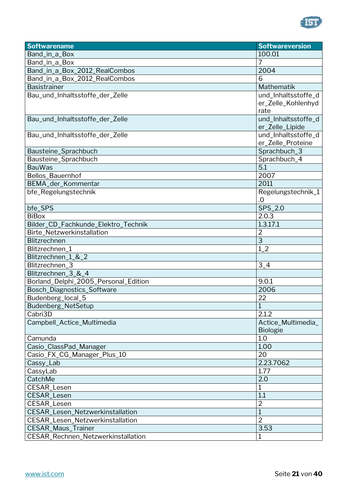

| <b>Softwarename</b>                  | <b>Softwareversion</b> |
|--------------------------------------|------------------------|
| Band_in_a_Box                        | 100.01                 |
| Band_in_a_Box                        | 7                      |
| Band_in_a_Box_2012_RealCombos        | 2004                   |
| Band_in_a_Box_2012_RealCombos        | 6                      |
| <b>Basistrainer</b>                  | Mathematik             |
| Bau_und_Inhaltsstoffe_der_Zelle      | und_Inhaltsstoffe_d    |
|                                      | er_Zelle_Kohlenhyd     |
|                                      | rate                   |
| Bau_und_Inhaltsstoffe_der_Zelle      | und_Inhaltsstoffe_d    |
|                                      | er_Zelle_Lipide        |
| Bau_und_Inhaltsstoffe_der_Zelle      | und_Inhaltsstoffe_d    |
|                                      | er_Zelle_Proteine      |
| Bausteine_Sprachbuch                 | Sprachbuch_3           |
| Bausteine_Sprachbuch                 | Sprachbuch_4           |
| <b>BauWas</b>                        | 5.1                    |
| Bellos_Bauernhof                     | 2007                   |
| BEMA_der_Kommentar                   | 2011                   |
| bfe_Regelungstechnik                 | Regelungstechnik_1     |
|                                      | .0                     |
| bfe_SPS                              | $SPS_2$ .0             |
| <b>BiBox</b>                         | 2.0.3                  |
| Bilder_CD_Fachkunde_Elektro_Technik  | 1.3.17.1               |
| Birte_Netzwerkinstallation           | $\overline{2}$         |
| Blitzrechnen                         | $\overline{\omega}$    |
| Blitzrechnen_1                       | $1_{-}2$               |
| Blitzrechnen_1_&_2                   |                        |
| Blitzrechnen_3                       | $3-4$                  |
| Blitzrechnen_3_&_4                   |                        |
| Borland_Delphi_2005_Personal_Edition | 9.0.1                  |
| Bosch_Diagnostics_Software           | 2006                   |
| Budenberg_local_5                    | 22                     |
| Budenberg_NetSetup                   | $\mathbf{1}$           |
| Cabri3D                              | 2.1.2                  |
| Campbell_Actice_Multimedia           | Actice_Multimedia_     |
|                                      | <b>Biologie</b>        |
| Camunda                              | 1.0                    |
| Casio_ClassPad_Manager               | 1.00                   |
| Casio_FX_CG_Manager_Plus_10          | 20                     |
| Cassy_Lab                            | 2.23.7062              |
| CassyLab                             | 1.77                   |
| CatchMe                              | 2.0                    |
| CESAR_Lesen                          | 1                      |
| <b>CESAR_Lesen</b>                   | 1.1                    |
| CESAR_Lesen                          | $\overline{2}$         |
| CESAR_Lesen_Netzwerkinstallation     | 1                      |
| CESAR_Lesen_Netzwerkinstallation     | $\overline{2}$         |
| <b>CESAR_Maus_Trainer</b>            | 3.53                   |
| CESAR_Rechnen_Netzwerkinstallation   | 1                      |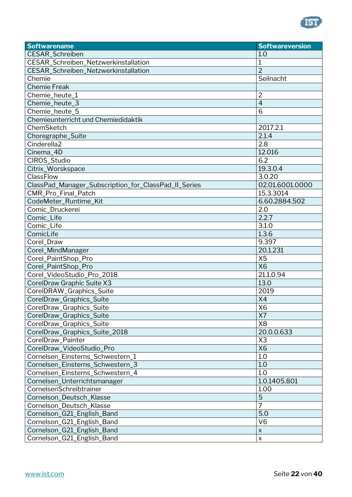

| <b>Softwarename</b>                                  | <b>Softwareversion</b>    |
|------------------------------------------------------|---------------------------|
| CESAR_Schreiben                                      | 1.0                       |
| CESAR_Schreiben_Netzwerkinstallation                 | 1                         |
| CESAR_Schreiben_Netzwerkinstallation                 | $\overline{2}$            |
| Chemie                                               | Seilnacht                 |
| <b>Chemie Freak</b>                                  |                           |
| Chemie_heute_1                                       | $\overline{2}$            |
| Chemie_heute_3                                       | $\overline{4}$            |
| Chemie_heute_5                                       | 6                         |
| Chemieunterricht und Chemiedidaktik                  |                           |
| ChemSketch                                           | 2017.2.1                  |
| Choregraphe_Suite                                    | 2.1.4                     |
| Cinderella <sub>2</sub>                              | 2.8                       |
| Cinema_4D                                            | 12.016                    |
| CIROS_Studio                                         | 6.2                       |
| Citrix_Worskspace                                    | 19.3.0.4                  |
| ClassFlow                                            | 3.0.20                    |
| ClassPad_Manager_Subscription_for_ClassPad_II_Series | 02.01.6001.0000           |
| CMR_Pro_Final_Patch                                  | 15.3.3014                 |
| CodeMeter_Runtime_Kit                                | 6.60.2884.502             |
| Comic_Druckerei                                      | 2.0                       |
| Comic_Life                                           | 2.2.7                     |
| Comic_Life                                           | 3.1.0                     |
| ComicLife                                            | 1.3.6                     |
| Corel_Draw                                           | 9.397                     |
| Corel_MindManager                                    | 20.1.231                  |
| Corel_PaintShop_Pro                                  | X <sub>5</sub>            |
| Corel_PaintShop_Pro                                  | <b>X6</b>                 |
| Corel_VideoStudio_Pro_2018                           | 21.1.0.94                 |
| CorelDraw Graphic Suite X3                           | 13.0                      |
| CorelDRAW_Graphics_Suite                             | 2019                      |
| CorelDraw_Graphics_Suite                             | X4                        |
| CorelDraw_Graphics_Suite                             | X6                        |
| CorelDraw_Graphics_Suite                             | X7                        |
| CorelDraw_Graphics_Suite                             | X <sub>8</sub>            |
| CorelDraw_Graphics_Suite_2018                        | 20.0.0.633                |
| CorelDraw_Painter                                    | X <sub>3</sub>            |
| CorelDraw_VideoStudio_Pro                            | <b>X6</b>                 |
| Cornelsen_Einsterns_Schwestern_1                     | 1.0                       |
| Cornelsen_Einsterns_Schwestern_3                     | 1.0                       |
| Cornelsen_Einsterns_Schwestern_4                     | 1.0                       |
| Cornelsen_Unterrichtsmanager                         | 1.0.1405.801              |
| CornelsenSchreibtrainer                              | 1.00                      |
| Cornelson_Deutsch_Klasse                             | 5                         |
| Cornelson_Deutsch_Klasse                             | $\overline{7}$            |
| Cornelson_G21_English_Band                           | 5.0                       |
| Cornelson_G21_English_Band                           | V <sub>6</sub>            |
| Cornelson_G21_English_Band                           | $\boldsymbol{\mathsf{X}}$ |
| Cornelson_G21_English_Band                           | $\pmb{\times}$            |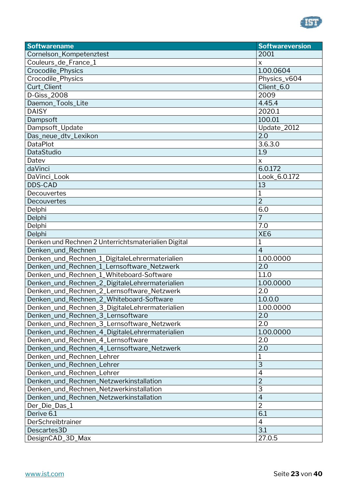

| <b>Softwarename</b>                                 | <b>Softwareversion</b> |
|-----------------------------------------------------|------------------------|
| Cornelson_Kompetenztest                             | 2001                   |
| Couleurs_de_France_1                                | $\pmb{\times}$         |
| Crocodile_Physics                                   | 1.00.0604              |
| Crocodile_Physics                                   | Physics_v604           |
| Curt_Client                                         | Client_6.0             |
| D-Giss_2008                                         | 2009                   |
| Daemon_Tools_Lite                                   | 4.45.4                 |
| <b>DAISY</b>                                        | 2020.1                 |
| Dampsoft                                            | 100.01                 |
| Dampsoft_Update                                     | Update_2012            |
| Das_neue_dtv_Lexikon                                | 2.0                    |
| <b>DataPlot</b>                                     | 3.6.3.0                |
| DataStudio                                          | 1.9                    |
| Datev                                               | $\pmb{\times}$         |
| daVinci                                             | 6.0.172                |
| DaVinci_Look                                        | Look_6.0.172           |
| <b>DDS-CAD</b>                                      | 13                     |
| Decouvertes                                         | 1                      |
| Decouvertes                                         | $\overline{2}$         |
| Delphi                                              | 6.0                    |
| Delphi                                              | $\overline{7}$         |
| Delphi                                              | 7.0                    |
| Delphi                                              | XE <sub>6</sub>        |
| Denken und Rechnen 2 Unterrichtsmaterialien Digital | $\overline{1}$         |
| Denken_und_Rechnen                                  | $\overline{4}$         |
| Denken_und_Rechnen_1_DigitaleLehrermaterialien      | 1.00.0000              |
| Denken_und_Rechnen_1_Lernsoftware_Netzwerk          | 2.0                    |
| Denken_und_Rechnen_1_Whiteboard-Software            | 1.1.0                  |
| Denken_und_Rechnen_2_DigitaleLehrermaterialien      | 1.00.0000              |
| Denken_und_Rechnen_2_Lernsoftware_Netzwerk          | 2.0                    |
| Denken_und_Rechnen_2_Whiteboard-Software            | 1.0.0.0                |
| Denken_und_Rechnen_3_DigitaleLehrermaterialien      | 1.00.0000              |
| Denken_und_Rechnen_3_Lernsoftware                   | 2.0                    |
| Denken_und_Rechnen_3_Lernsoftware_Netzwerk          | 2.0                    |
| Denken_und_Rechnen_4_DigitaleLehrermaterialien      | 1.00.0000              |
| Denken_und_Rechnen_4_Lernsoftware                   | 2.0                    |
| Denken_und_Rechnen_4_Lernsoftware_Netzwerk          | 2.0                    |
| Denken_und_Rechnen_Lehrer                           | 1                      |
| Denken_und_Rechnen_Lehrer                           | $\overline{3}$         |
| Denken_und_Rechnen_Lehrer                           | $\overline{4}$         |
| Denken_und_Rechnen_Netzwerkinstallation             | $\overline{2}$         |
| Denken_und_Rechnen_Netzwerkinstallation             | 3                      |
| Denken_und_Rechnen_Netzwerkinstallation             | $\overline{4}$         |
| Der_Die_Das_1                                       | $\overline{2}$         |
| Derive 6.1                                          | 6.1                    |
| DerSchreibtrainer                                   | 4                      |
| Descartes3D                                         | 3.1                    |
| DesignCAD_3D_Max                                    | 27.0.5                 |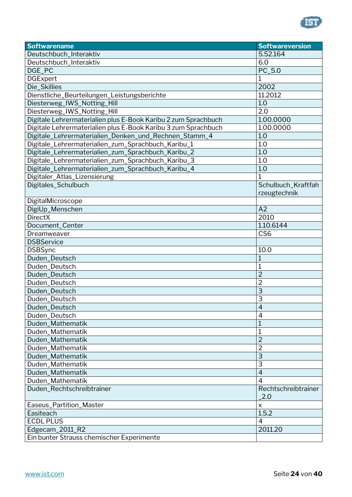

| <b>Softwarename</b>                                            | <b>Softwareversion</b> |
|----------------------------------------------------------------|------------------------|
| Deutschbuch_Interaktiv                                         | 5.52.164               |
| Deutschbuch_Interaktiv                                         | 6.0                    |
| DGE_PC                                                         | PC_5.0                 |
| <b>DGExpert</b>                                                | 1                      |
| Die_Skillies                                                   | 2002                   |
| Dienstliche_Beurteilungen_Leistungsberichte                    | 11.2012                |
| Diesterweg_IWS_Notting_Hill                                    | 1.0                    |
| Diesterweg_IWS_Notting_Hill                                    | 2.0                    |
| Digitale Lehrermaterialien plus E-Book Karibu 2 zum Sprachbuch | 1.00.0000              |
| Digitale Lehrermaterialien plus E-Book Karibu 3 zum Sprachbuch | 1.00.0000              |
| Digitale_Lehrermaterialien_Denken_und_Rechnen_Stamm_4          | 1.0                    |
| Digitale_Lehrermaterialien_zum_Sprachbuch_Karibu_1             | 1.0                    |
| Digitale_Lehrermaterialien_zum_Sprachbuch_Karibu_2             | 1.0                    |
| Digitale_Lehrermaterialien_zum_Sprachbuch_Karibu_3             | 1.0                    |
| Digitale_Lehrermaterialien_zum_Sprachbuch_Karibu_4             | 1.0                    |
| Digitaler_Atlas_Lizensierung                                   | 1                      |
| Digitales_Schulbuch                                            | Schulbuch_Kraftfah     |
|                                                                | rzeugtechnik           |
| DigitalMicroscope                                              |                        |
| DigiUp_Menschen                                                | A2                     |
| <b>DirectX</b>                                                 | 2010                   |
| Document_Center                                                | 1.10.6144              |
| Dreamweaver                                                    | CS <sub>6</sub>        |
| <b>DSBService</b>                                              |                        |
| <b>DSBSync</b>                                                 | 10.0                   |
| Duden_Deutsch                                                  | 1                      |
| Duden_Deutsch                                                  | 1                      |
| Duden_Deutsch                                                  | $\overline{2}$         |
| Duden_Deutsch                                                  | $\overline{2}$         |
| Duden_Deutsch                                                  | $\overline{3}$         |
| Duden_Deutsch                                                  | 3                      |
| Duden_Deutsch                                                  | $\overline{4}$         |
| Duden_Deutsch                                                  | $\overline{4}$         |
| Duden_Mathematik                                               | 1                      |
| Duden Mathematik                                               | $\mathbf 1$            |
| Duden_Mathematik                                               | $\overline{2}$         |
| Duden_Mathematik                                               | $\overline{2}$         |
| Duden_Mathematik                                               | 3                      |
| Duden_Mathematik                                               | 3                      |
| Duden_Mathematik                                               | $\overline{4}$         |
| Duden_Mathematik                                               | 4                      |
| Duden_Rechtschreibtrainer                                      | Rechtschreibtrainer    |
|                                                                | 2.0                    |
| Easeus_Partition_Master                                        | X                      |
| Easiteach                                                      | 1.5.2                  |
| <b>ECDL PLUS</b>                                               | $\overline{4}$         |
| Edgecam_2011_R2                                                | 2011.20                |
| Ein bunter Strauss chemischer Experimente                      |                        |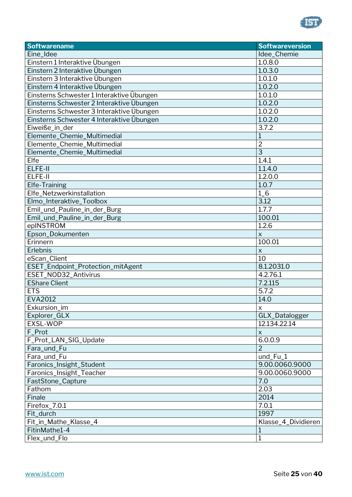

| <b>Softwarename</b>                       | <b>Softwareversion</b>    |
|-------------------------------------------|---------------------------|
| Eine_Idee                                 | Idee_Chemie               |
| Einstern 1 Interaktive Übungen            | 1.0.8.0                   |
| Einstern 2 Interaktive Übungen            | 1.0.3.0                   |
| Einstern 3 Interaktive Übungen            | 1.0.1.0                   |
| Einstern 4 Interaktive Übungen            | 1.0.2.0                   |
| Einsterns Schwester 1 Interaktive Übungen | 1.0.1.0                   |
| Einsterns Schwester 2 Interaktive Übungen | 1.0.2.0                   |
| Einsterns Schwester 3 Interaktive Übungen | 1.0.2.0                   |
| Einsterns Schwester 4 Interaktive Übungen | 1.0.2.0                   |
| Eiweiße_in_der                            | 3.7.2                     |
| Elemente_Chemie_Multimedial               | $\mathbf{1}$              |
| Elemente_Chemie_Multimedial               | $\overline{2}$            |
| Elemente_Chemie_Multimedial               | 3                         |
| Elfe                                      | 1.4.1                     |
| ELFE-II                                   | 1.1.4.0                   |
| ELFE-II                                   | 1.2.0.0                   |
| Elfe-Training                             | 1.0.7                     |
| Elfe_Netzwerkinstallation                 | $1_{-}6$                  |
| Elmo_Interaktive_Toolbox                  | 3.12                      |
| Emil_und_Pauline_in_der_Burg              | 1.7.7                     |
| Emil_und_Pauline_in_der_Burg              | 100.01                    |
| epINSTROM                                 | 1.2.6                     |
| Epson_Dokumenten                          | $\pmb{\times}$            |
| Erinnern                                  | 100.01                    |
| Erlebnis                                  | $\pmb{\times}$            |
| eScan_Client                              | 10                        |
| ESET_Endpoint_Protection_mitAgent         | 8.1.2031.0                |
| ESET_NOD32_Antivirus                      | 4.2.76.1                  |
| <b>EShare Client</b>                      | 7.2.115                   |
| <b>ETS</b>                                | 5.7.2                     |
| EVA2012                                   | 14.0                      |
| Exkursion_im                              | X                         |
| Explorer_GLX                              | GLX_Datalogger            |
| EXSL-WOP                                  | 12.134.22.14              |
| F_Prot                                    | $\boldsymbol{\mathsf{X}}$ |
| F_Prot_LAN_SIG_Update                     | 6.0.0.9                   |
| Fara_und_Fu                               | 2                         |
| Fara_und_Fu                               | und_Fu_1                  |
| Faronics_Insight_Student                  | 9.00.0060.9000            |
| Faronics_Insight_Teacher                  | 9.00.0060.9000            |
| FastStone_Capture                         | 7.0                       |
| Fathom                                    | 2.03                      |
| Finale                                    | 2014                      |
| Firefox_7.0.1                             | 7.0.1                     |
| Fit_durch                                 | 1997                      |
| Fit_in_Mathe_Klasse_4                     | Klasse_4_Dividieren       |
| FitinMathe1-4                             | 1                         |
| Flex_und_Flo                              |                           |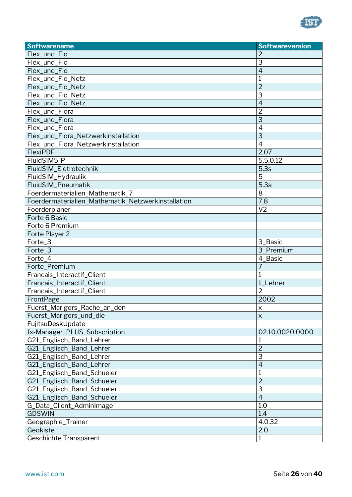

| <b>Softwarename</b>                                | <b>Softwareversion</b> |
|----------------------------------------------------|------------------------|
| Flex_und_Flo                                       | 2                      |
| Flex_und_Flo                                       | 3                      |
| Flex_und_Flo                                       | $\overline{4}$         |
| Flex_und_Flo_Netz                                  | 1                      |
| Flex_und_Flo_Netz                                  | $\overline{2}$         |
| Flex_und_Flo_Netz                                  | 3                      |
| Flex_und_Flo_Netz                                  | $\overline{4}$         |
| Flex_und_Flora                                     | $\overline{2}$         |
| Flex_und_Flora                                     | $\overline{3}$         |
| Flex_und_Flora                                     | $\overline{4}$         |
| Flex_und_Flora_Netzwerkinstallation                | 3                      |
| Flex_und_Flora_Netzwerkinstallation                | $\overline{4}$         |
| FlexiPDF                                           | 2.07                   |
| FluidSIM5-P                                        | 5.5.0.12               |
| FluidSIM_Eletrotechnik                             | 5.3s                   |
| FluidSIM_Hydraulik                                 | 5                      |
| FluidSIM_Pneumatik                                 | 5.3a                   |
| Foerdermaterialien_Mathematik_7                    | 8                      |
| Foerdermaterialien_Mathematik_Netzwerkinstallation | 7.8                    |
| Foerderplaner                                      | V <sub>2</sub>         |
| Forte 6 Basic                                      |                        |
| Forte 6 Premium                                    |                        |
| Forte Player 2                                     |                        |
| Forte_3                                            | 3_Basic                |
| Forte_3                                            | 3_Premium              |
| Forte_4                                            | 4_Basic                |
| Forte_Premium                                      | 7                      |
| Francais_Interactif_Client                         |                        |
| Francais_Interactif_Client                         | 1_Lehrer               |
| Francais_Interactif_Client                         | $\overline{2}$         |
| FrontPage                                          | 2002                   |
| Fuerst_Marigors_Rache_an_den                       | X                      |
| Fuerst_Marigors_und_die                            | $\pmb{\times}$         |
| FujitsuDeskUpdate                                  |                        |
| fx-Manager_PLUS_Subscription                       | 02.10.0020.0000        |
| G21_Englisch_Band_Lehrer                           |                        |
| G21_Englisch_Band_Lehrer                           | $\overline{2}$         |
| G21_Englisch_Band_Lehrer                           | 3                      |
| G21_Englisch_Band_Lehrer                           | $\overline{4}$         |
| G21_Englisch_Band_Schueler                         | 1                      |
| G21_Englisch_Band_Schueler                         | $\overline{2}$         |
| G21_Englisch_Band_Schueler                         | 3                      |
| G21_Englisch_Band_Schueler                         | $\overline{4}$         |
| G_Data_Client_AdminImage                           | 1.0                    |
| <b>GDSWIN</b>                                      | 1.4                    |
| Geographie_Trainer                                 | 4.0.32                 |
| Geokiste                                           | 2.0                    |
| <b>Geschichte Transparent</b>                      | 1                      |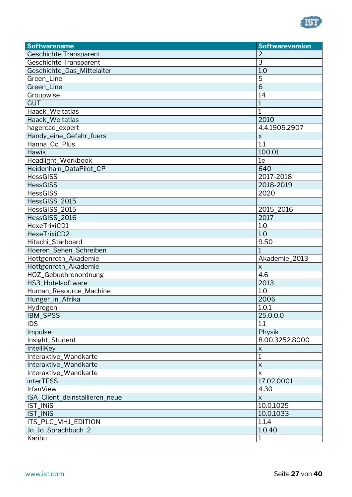

| <b>Softwarename</b>            | <b>Softwareversion</b> |
|--------------------------------|------------------------|
| <b>Geschichte Transparent</b>  | $\overline{2}$         |
| <b>Geschichte Transparent</b>  | 3                      |
| Geschichte_Das_Mittelalter     | 1.0                    |
| Green_Line                     | 5                      |
| Green_Line                     | $\overline{6}$         |
| Groupwise                      | 14                     |
| <b>GUT</b>                     | 1                      |
| Haack_Weltatlas                | $\mathbf{1}$           |
| Haack_Weltatlas                | 2010                   |
| hagercad_expert                | 4.4.1905.2907          |
| Handy_eine_Gefahr_fuers        | $\pmb{\times}$         |
| Hanna_Co_Plus                  | $\overline{1.1}$       |
| Hawik                          | 100.01                 |
| Headlight_Workbook             | 1e                     |
| Heidenhain_DataPilot_CP        | 640                    |
| <b>HessGISS</b>                | 2017-2018              |
| <b>HessGISS</b>                | 2018-2019              |
| <b>HessGISS</b>                | 2020                   |
| HessGISS_2015                  |                        |
| HessGISS_2015                  | 2015_2016              |
| HessGISS_2016                  | 2017                   |
| HexeTrixiCD1                   | 1.0                    |
| HexeTrixiCD2                   | 1.0                    |
| Hitachi_Starboard              | 9.50                   |
| Hoeren_Sehen_Schreiben         |                        |
| Hottgenroth_Akademie           | Akademie_2013          |
| Hottgenroth_Akademie           | X                      |
| HOZ_Gebuehrenordnung           | 4.6                    |
| HS3_Hotelsoftware              | 2013                   |
| Human_Resource_Machine         | 1.0                    |
| Hunger_in_Afrika               | 2006                   |
| Hydrogen                       | 1.0.1                  |
| IBM_SPSS                       | 25.0.0.0               |
| <b>IDS</b>                     | 1.1                    |
| Impulse                        | Physik                 |
| Insight_Student                | 8.00.3252.8000         |
| IntelliKey                     | $\mathsf X$            |
| Interaktive_Wandkarte          | 1                      |
| Interaktive_Wandkarte          | $\pmb{\times}$         |
| Interaktive_Wandkarte          | $\pmb{\times}$         |
| <b>interTESS</b>               | 17.02.0001             |
| <b>IrfanView</b>               | 4.30                   |
| ISA_Client_deinstallieren_neue | $\pmb{\times}$         |
| IST_INIS                       | 10.0.1025              |
| IST_INiS                       | 10.0.1033              |
| ITS_PLC_MHJ_EDITION            | 1.1.4                  |
| Jo_Jo_Sprachbuch_2             | 1.0.40                 |
| Karibu                         | $\mathbf{1}$           |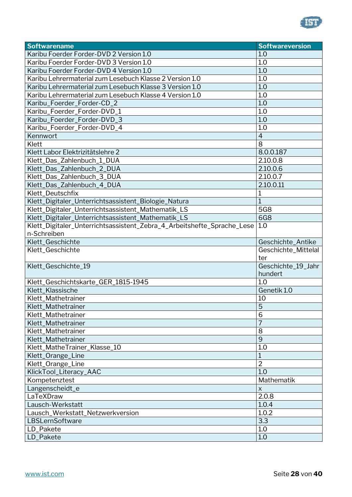

| <b>Softwarename</b>                                                    | <b>Softwareversion</b>        |
|------------------------------------------------------------------------|-------------------------------|
| Karibu Foerder Forder-DVD 2 Version 1.0                                | 1.0                           |
| Karibu Foerder Forder-DVD 3 Version 1.0                                | 1.0                           |
| Karibu Foerder Forder-DVD 4 Version 1.0                                | 1.0                           |
| Karibu Lehrermaterial zum Lesebuch Klasse 2 Version 1.0                | 1.0                           |
| Karibu Lehrermaterial zum Lesebuch Klasse 3 Version 1.0                | 1.0                           |
| Karibu Lehrermaterial zum Lesebuch Klasse 4 Version 1.0                | 1.0                           |
| Karibu_Foerder_Forder-CD_2                                             | 1.0                           |
| Karibu_Foerder_Forder-DVD_1                                            | 1.0                           |
| Karibu_Foerder_Forder-DVD_3                                            | 1.0                           |
| Karibu_Foerder_Forder-DVD_4                                            | 1.0                           |
| Kennwort                                                               | $\overline{4}$                |
| Klett                                                                  | 8                             |
| Klett Labor Elektrizitätslehre 2                                       | 8.0.0.187                     |
| Klett_Das_Zahlenbuch_1_DUA                                             | 2.10.0.8                      |
| Klett_Das_Zahlenbuch_2_DUA                                             | 2.10.0.6                      |
| Klett_Das_Zahlenbuch_3_DUA                                             | 2.10.0.7                      |
| Klett_Das_Zahlenbuch_4_DUA                                             | 2.10.0.11                     |
| Klett_Deutschfix                                                       | 1                             |
| Klett_Digitaler_Unterrichtsassistent_Biologie_Natura                   | $\mathbf{1}$                  |
| Klett_Digitaler_Unterrichtsassistent_Mathematik_LS                     | 5G8                           |
| Klett_Digitaler_Unterrichtsassistent_Mathematik_LS                     | <b>6G8</b>                    |
| Klett_Digitaler_Unterrichtsassistent_Zebra_4_Arbeitshefte_Sprache_Lese | 1.0                           |
| n-Schreiben                                                            |                               |
| Klett_Geschichte                                                       | Geschichte_Antike             |
| Klett_Geschichte                                                       | Geschichte_Mittelal           |
|                                                                        | ter                           |
| Klett_Geschichte_19                                                    | Geschichte_19_Jahr            |
|                                                                        | hundert                       |
| Klett_Geschichtskarte_GER_1815-1945                                    | 1.0                           |
| Klett_Klassische                                                       | Genetik 1.0                   |
| Klett_Mathetrainer                                                     | 10                            |
| Klett_Mathetrainer                                                     | $\overline{5}$                |
| Klett_Mathetrainer                                                     | 6                             |
| Klett_Mathetrainer                                                     | 7                             |
| Klett_Mathetrainer                                                     | 8                             |
| Klett_Mathetrainer                                                     | 9                             |
| Klett_MatheTrainer_Klasse_10                                           | 1.0                           |
| Klett_Orange_Line                                                      | $\mathbf 1$<br>$\overline{2}$ |
| Klett_Orange_Line                                                      |                               |
| KlickTool_Literacy_AAC                                                 | 1.0                           |
| Kompetenztest                                                          | Mathematik                    |
| Langenscheidt_e                                                        | $\pmb{\mathsf{X}}$            |
| LaTeXDraw                                                              | 2.0.8                         |
| Lausch-Werkstatt                                                       | 1.0.4                         |
| Lausch_Werkstatt_Netzwerkversion<br>LBSLernSoftware                    | 1.0.2<br>3.3                  |
|                                                                        |                               |
| LD_Pakete                                                              | 1.0<br>1.0                    |
| LD_Pakete                                                              |                               |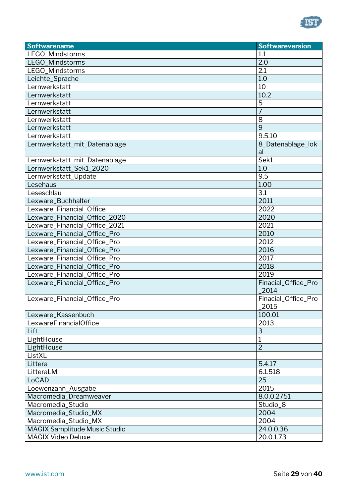

| <b>Softwarename</b>                  | <b>Softwareversion</b>      |
|--------------------------------------|-----------------------------|
| LEGO_Mindstorms                      | 1.1                         |
| LEGO_Mindstorms                      | 2.0                         |
| LEGO_Mindstorms                      | 2.1                         |
| Leichte_Sprache                      | 1.0                         |
| Lernwerkstatt                        | 10                          |
| Lernwerkstatt                        | 10.2                        |
| Lernwerkstatt                        | 5                           |
| Lernwerkstatt                        | $\overline{7}$              |
| Lernwerkstatt                        | 8                           |
| Lernwerkstatt                        | 9                           |
| Lernwerkstatt                        | 9.5.10                      |
| Lernwerkstatt_mit_Datenablage        | 8_Datenablage_lok<br>al     |
| Lernwerkstatt_mit_Datenablage        | Sek1                        |
| Lernwerkstatt_Sek1_2020              | 1.0                         |
| Lernwerkstatt_Update                 | 9.5                         |
| Lesehaus                             | 1.00                        |
| Leseschlau                           | 3.1                         |
| Lexware_Buchhalter                   | 2011                        |
| Lexware_Financial_Office             | 2022                        |
| Lexware_Financial_Office_2020        | 2020                        |
| Lexware_Financial_Office_2021        | 2021                        |
| Lexware_Financial_Office_Pro         | 2010                        |
| Lexware_Financial_Office_Pro         | 2012                        |
| Lexware_Financial_Office_Pro         | 2016                        |
| Lexware_Financial_Office_Pro         | 2017                        |
| Lexware_Financial_Office_Pro         | 2018                        |
| Lexware_Financial_Office_Pro         | 2019                        |
| Lexware_Financial_Office_Pro         | Finacial_Office_Pro<br>2014 |
| Lexware_Financial_Office_Pro         | Finacial_Office_Pro<br>2015 |
| Lexware Kassenbuch                   | 100.01                      |
| LexwareFinancialOffice               | 2013                        |
| Lift                                 | 3                           |
| LightHouse                           | $\mathbf 1$                 |
| LightHouse                           | $\overline{2}$              |
| ListXL                               |                             |
| Littera                              | 5.4.17                      |
| LitteraLM                            | 6.1.518                     |
| LoCAD                                | 25                          |
| Loewenzahn_Ausgabe                   | 2015                        |
| Macromedia_Dreamweaver               | 8.0.0.2751                  |
| Macromedia_Studio                    | Studio_8                    |
| Macromedia_Studio_MX                 | 2004                        |
| Macromedia_Studio_MX                 | 2004                        |
| <b>MAGIX Samplitude Music Studio</b> | 24.0.0.36                   |
| <b>MAGIX Video Deluxe</b>            | 20.0.1.73                   |
|                                      |                             |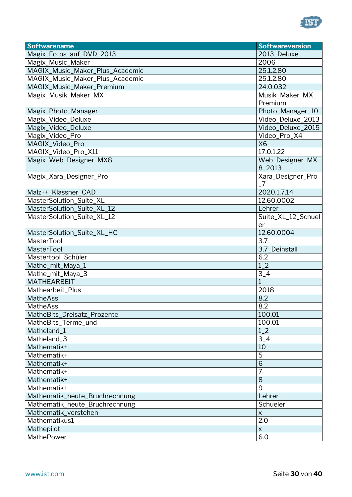

| <b>Softwarename</b>             | <b>Softwareversion</b>    |
|---------------------------------|---------------------------|
| Magix_Fotos_auf_DVD_2013        | 2013_Deluxe               |
| Magix_Music_Maker               | 2006                      |
| MAGIX_Music_Maker_Plus_Academic | 25.1.2.80                 |
| MAGIX_Music_Maker_Plus_Academic | 25.1.2.80                 |
| MAGIX_Music_Maker_Premium       | 24.0.032                  |
| Magix_Musik_Maker_MX            | Musik_Maker_MX_           |
|                                 | Premium                   |
| Magix_Photo_Manager             | Photo_Manager_10          |
| Magix_Video_Deluxe              | Video_Deluxe_2013         |
| Magix_Video_Deluxe              | Video_Deluxe_2015         |
| Magix_Video_Pro                 | Video_Pro_X4              |
| MAGIX_Video_Pro                 | <b>X6</b>                 |
| MAGIX_Video_Pro_X11             | 17.0.1.22                 |
| Magix_Web_Designer_MX8          | Web_Designer_MX           |
|                                 | 8_2013                    |
| Magix_Xara_Designer_Pro         | Xara_Designer_Pro         |
|                                 | 7                         |
| Malz++_Klassner_CAD             | 2020.1.7.14               |
| MasterSolution_Suite_XL         | 12.60.0002                |
| MasterSolution_Suite_XL_12      | Lehrer                    |
| MasterSolution_Suite_XL_12      | Suite_XL_12_Schuel        |
|                                 | er                        |
| MasterSolution_Suite_XL_HC      | 12.60.0004                |
| MasterTool                      | 3.7                       |
| <b>MasterTool</b>               | 3.7_Deinstall             |
| Mastertool_Schüler              | 6.2                       |
| Mathe_mit_Maya_1                | $1_{-}2$                  |
| Mathe_mit_Maya_3                | $\frac{3 - 4}{1}$         |
| <b>MATHEARBEIT</b>              | $\mathbf{1}$              |
| Mathearbeit_Plus                | 2018                      |
| <b>MatheAss</b>                 | 8.2                       |
| MatheAss                        | 8.2                       |
| MatheBits_Dreisatz_Prozente     | 100.01                    |
| MatheBits_Terme_und             | 100.01                    |
| Matheland_1                     | $1_{-}2$                  |
| Matheland_3                     | $3-4$                     |
| Mathematik+                     | 10                        |
| Mathematik+                     | 5                         |
| Mathematik+                     | $\overline{6}$            |
| Mathematik+                     |                           |
| Mathematik+                     | 8                         |
| Mathematik+                     | 9                         |
| Mathematik_heute_Bruchrechnung  | Lehrer                    |
| Mathematik_heute_Bruchrechnung  | Schueler                  |
| Mathematik_verstehen            | $\boldsymbol{\mathsf{X}}$ |
| Mathematikus1                   | $\overline{2.0}$          |
| Mathepilot                      | $\boldsymbol{\mathsf{X}}$ |
| MathePower                      | 6.0                       |
|                                 |                           |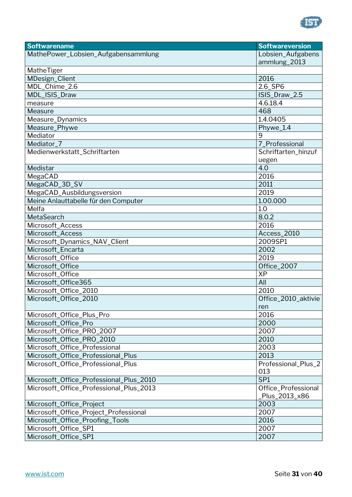

| <b>Softwarename</b>                     | <b>Softwareversion</b> |
|-----------------------------------------|------------------------|
| MathePower_Lobsien_Aufgabensammlung     | Lobsien_Aufgabens      |
|                                         | ammlung_2013           |
| MatheTiger                              |                        |
| MDesign_Client                          | 2016                   |
| MDL_Chime_2.6                           | 2.6_SP6                |
| MDL_ISIS_Draw                           | ISIS_Draw_2.5          |
| measure                                 | 4.6.18.4               |
| Measure                                 | 468                    |
| Measure_Dynamics                        | 1.4.0405               |
| Measure_Phywe                           | Phywe_1.4              |
| Mediator                                | 9                      |
| Mediator_7                              | 7_Professional         |
| Medienwerkstatt_Schriftarten            | Schriftarten_hinzuf    |
|                                         | uegen                  |
| Medistar                                | 4.0                    |
| MegaCAD                                 | 2016                   |
| MegaCAD_3D_SV                           | 2011                   |
| MegaCAD_Ausbildungsversion              | 2019                   |
| Meine Anlauttabelle für den Computer    | 1.00.000               |
| Melfa                                   | 1.0                    |
| MetaSearch                              | 8.0.2                  |
| Microsoft_Access                        | 2016                   |
| Microsoft_Access                        | Access_2010            |
| Microsoft_Dynamics_NAV_Client           | 2009SP1                |
| Microsoft_Encarta                       | 2002                   |
| Microsoft_Office                        | 2019                   |
| Microsoft_Office                        | Office_2007            |
| Microsoft_Office                        | <b>XP</b>              |
| Microsoft_Office365                     | All                    |
| Microsoft_Office_2010                   | 2010                   |
| Microsoft_Office_2010                   | Office_2010_aktivie    |
|                                         | ren                    |
| Microsoft_Office_Plus_Pro               | 2016                   |
| Microsoft_Office_Pro                    | 2000                   |
| Microsoft_Office_PRO_2007               | 2007                   |
| Microsoft_Office_PRO_2010               | 2010                   |
| Microsoft_Office_Professional           | 2003                   |
| Microsoft_Office_Professional_Plus      | 2013                   |
| Microsoft_Office_Professional_Plus      | Professional_Plus_2    |
|                                         | 013                    |
| Microsoft_Office_Professional_Plus_2010 | SP <sub>1</sub>        |
| Microsoft_Office_Professional_Plus_2013 | Office_Professional    |
|                                         | Plus_2013_x86          |
| Microsoft_Office_Project                | 2003                   |
| Microsoft_Office_Project_Professional   | 2007                   |
| Microsoft_Office_Proofing_Tools         | 2016                   |
| Microsoft_Office_SP1                    | 2007                   |
| Microsoft_Office_SP1                    | 2007                   |
|                                         |                        |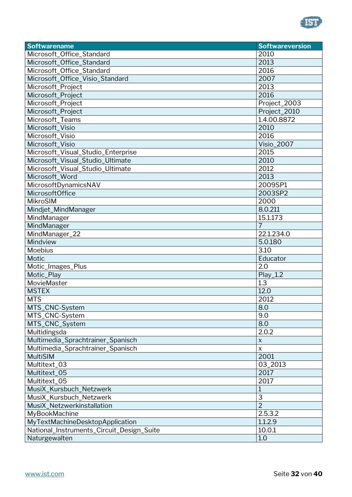

| <b>Softwarename</b>                       | <b>Softwareversion</b> |
|-------------------------------------------|------------------------|
| Microsoft_Office_Standard                 | 2010                   |
| Microsoft_Office_Standard                 | 2013                   |
| Microsoft_Office_Standard                 | 2016                   |
| Microsoft_Office_Visio_Standard           | 2007                   |
| Microsoft_Project                         | 2013                   |
| Microsoft_Project                         | 2016                   |
| Microsoft_Project                         | Project_2003           |
| Microsoft_Project                         | Project_2010           |
| Microsoft_Teams                           | 1.4.00.8872            |
| Microsoft_Visio                           | 2010                   |
| Microsoft_Visio                           | 2016                   |
| Microsoft_Visio                           | <b>Visio_2007</b>      |
| Microsoft_Visual_Studio_Enterprise        | 2015                   |
| Microsoft_Visual_Studio_Ultimate          | 2010                   |
| Microsoft_Visual_Studio_Ultimate          | 2012                   |
| Microsoft_Word                            | 2013                   |
| MicrosoftDynamicsNAV                      | 2009SP1                |
| MicrosoftOffice                           | 2003SP2                |
| MikroSIM                                  | 2000                   |
| Mindjet_MindManager                       | 8.0.211                |
| MindManager                               | 15.1.173               |
| MindManager                               | $\overline{7}$         |
| MindManager_22                            | 22.1.234.0             |
| Mindview                                  | 5.0.180                |
| Moebius                                   | 3.10                   |
| Motic                                     | Educator               |
| Motic_Images_Plus                         | 2.0                    |
| Motic_Play                                | Play_1.2               |
| MovieMaster                               | 1.3                    |
| <b>MSTEX</b>                              | 12.0                   |
| <b>MTS</b>                                | 2012                   |
| MTS_CNC-System                            | 8.0                    |
| MTS_CNC-System                            | 9.0                    |
| MTS_CNC_System                            | 8.0                    |
| Multidingsda                              | 2.0.2                  |
| Multimedia_Sprachtrainer_Spanisch         | $\mathsf X$            |
| Multimedia_Sprachtrainer_Spanisch         | $\mathsf{x}$           |
| <b>MultiSIM</b>                           | 2001                   |
| Multitext_03                              | 03_2013                |
| Multitext_05                              | 2017                   |
| Multitext 05                              | 2017                   |
| MusiX_Kursbuch_Netzwerk                   | 1                      |
| MusiX_Kursbuch_Netzwerk                   | 3                      |
| MusiX_Netzwerkinstallation                | $\overline{2}$         |
| MyBookMachine                             | 2.5.3.2                |
| MyTextMachineDesktopApplication           | 1.1.2.9                |
| National_Instruments_Circuit_Design_Suite | 10.0.1                 |
| Naturgewalten                             | 1.0                    |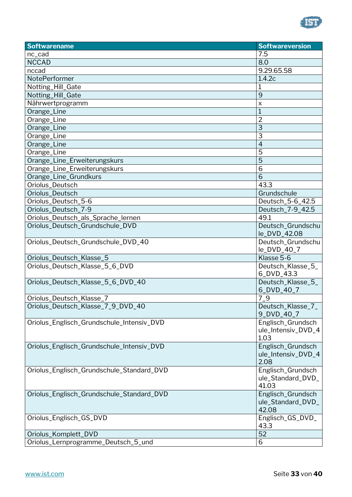

| <b>Softwarename</b>                       | <b>Softwareversion</b>          |
|-------------------------------------------|---------------------------------|
| nc_cad                                    | 7.5                             |
| <b>NCCAD</b>                              | 8.0                             |
| nccad                                     | 9.29.65.58                      |
| NotePerformer                             | 1.4.2c                          |
| Notting_Hill_Gate                         | 1                               |
| Notting_Hill_Gate                         | 9                               |
| Nährwertprogramm                          | X                               |
| Orange_Line                               | $\overline{1}$                  |
| Orange_Line                               | $\overline{2}$                  |
| Orange_Line                               | 3                               |
| Orange_Line                               | 3                               |
| Orange_Line                               | $\overline{4}$                  |
| Orange_Line                               | 5                               |
| Orange_Line_Erweiterungskurs              | 5                               |
| Orange_Line_Erweiterungskurs              | 6                               |
| Orange_Line_Grundkurs                     | 6                               |
| Oriolus_Deutsch                           | 43.3                            |
| Oriolus_Deutsch                           | Grundschule                     |
| Oriolus_Deutsch_5-6                       | Deutsch_5-6_42.5                |
| Oriolus_Deutsch_7-9                       | Deutsch_7-9_42.5                |
| Oriolus_Deutsch_als_Sprache_lernen        | 49.1                            |
| Oriolus_Deutsch_Grundschule_DVD           | Deutsch_Grundschu               |
|                                           | le_DVD_42.08                    |
| Oriolus_Deutsch_Grundschule_DVD_40        | Deutsch_Grundschu               |
|                                           | le_DVD_40_7                     |
| Oriolus_Deutsch_Klasse_5                  | Klasse 5-6                      |
| Oriolus_Deutsch_Klasse_5_6_DVD            | Deutsch_Klasse_5_<br>6_DVD_43.3 |
| Oriolus_Deutsch_Klasse_5_6_DVD_40         | Deutsch_Klasse_5_               |
|                                           | 6_DVD_40_7                      |
| Oriolus_Deutsch_Klasse_7                  | $7-9$                           |
| Oriolus_Deutsch_Klasse_7_9_DVD_40         | Deutsch_Klasse_7_               |
|                                           | 9 DVD 40 7                      |
| Oriolus_Englisch_Grundschule_Intensiv_DVD | Englisch_Grundsch               |
|                                           | ule_Intensiv_DVD_4              |
|                                           | 1.03                            |
| Oriolus_Englisch_Grundschule_Intensiv_DVD | Englisch_Grundsch               |
|                                           | ule_Intensiv_DVD_4              |
|                                           | 2.08                            |
| Oriolus_Englisch_Grundschule_Standard_DVD | Englisch_Grundsch               |
|                                           | ule_Standard_DVD_               |
|                                           | 41.03                           |
| Oriolus_Englisch_Grundschule_Standard_DVD | Englisch_Grundsch               |
|                                           | ule_Standard_DVD_               |
|                                           | 42.08                           |
| Oriolus_Englisch_GS_DVD                   | Englisch_GS_DVD_                |
|                                           | 43.3                            |
| Oriolus_Komplett_DVD                      | 52                              |
| Oriolus_Lernprogramme_Deutsch_5_und       | 6                               |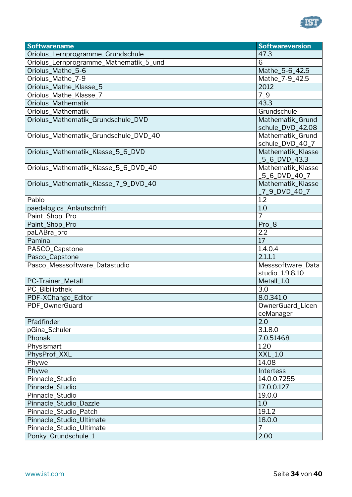

| <b>Softwarename</b>                    | <b>Softwareversion</b> |
|----------------------------------------|------------------------|
| Oriolus_Lernprogramme_Grundschule      | 47.3                   |
| Oriolus_Lernprogramme_Mathematik_5_und | 6                      |
| Oriolus_Mathe_5-6                      | Mathe_5-6_42.5         |
| Oriolus_Mathe_7-9                      | Mathe_7-9_42.5         |
| Oriolus_Mathe_Klasse_5                 | 2012                   |
| Oriolus_Mathe_Klasse_7                 | $7-9$                  |
| Oriolus_Mathematik                     | 43.3                   |
| Oriolus_Mathematik                     | Grundschule            |
| Oriolus_Mathematik_Grundschule_DVD     | Mathematik Grund       |
|                                        | schule_DVD_42.08       |
| Oriolus_Mathematik_Grundschule_DVD_40  | Mathematik_Grund       |
|                                        | schule_DVD_40_7        |
| Oriolus_Mathematik_Klasse_5_6_DVD      | Mathematik_Klasse      |
|                                        | 5_6_DVD_43.3           |
| Oriolus_Mathematik_Klasse_5_6_DVD_40   | Mathematik_Klasse      |
|                                        | 5_6_DVD_40_7           |
| Oriolus_Mathematik_Klasse_7_9_DVD_40   | Mathematik_Klasse      |
|                                        | _7_9_DVD_40_7          |
| Pablo                                  | 1.2                    |
| paedalogics_Anlautschrift              | 1.0                    |
| Paint_Shop_Pro                         | 7                      |
| Paint_Shop_Pro                         | Pro_8                  |
| paLABra_pro                            | 2.2                    |
| Pamina                                 | 17                     |
| PASCO_Capstone                         | 1.4.0.4                |
| Pasco_Capstone                         | 2.1.1.1                |
| Pasco_Messsoftware_Datastudio          | Messsoftware_Data      |
|                                        | studio_1.9.8.10        |
| PC-Trainer_Metall                      | Metall_1.0             |
| PC_Bibiliothek                         | 3.0                    |
| PDF-XChange_Editor                     | 8.0.341.0              |
| PDF_OwnerGuard                         | OwnerGuard_Licen       |
|                                        | ceManager              |
| Pfadfinder                             | 2.0                    |
| pGina_Schüler                          | 3.1.8.0                |
| Phonak                                 | 7.0.51468              |
| Physismart                             | 1.20                   |
| PhysProf_XXL                           | XXL_1.0                |
| Phywe                                  | 14.08                  |
| Phywe                                  | Intertess              |
| Pinnacle_Studio                        | 14.0.0.7255            |
| Pinnacle_Studio                        | 17.0.0.127             |
| Pinnacle_Studio                        | 19.0.0                 |
| Pinnacle_Studio_Dazzle                 | 1.0                    |
| Pinnacle_Studio_Patch                  | 19.1.2                 |
| Pinnacle_Studio_Ultimate               | 18.0.0                 |
| Pinnacle_Studio_Ultimate               | 7                      |
| Ponky_Grundschule_1                    | 2.00                   |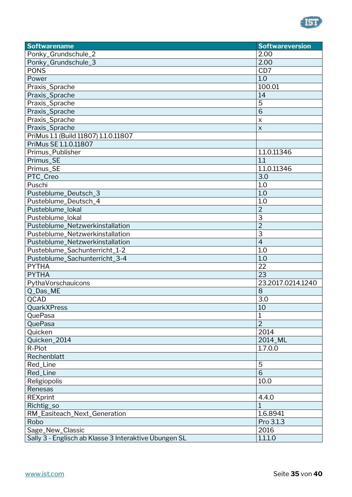

| <b>Softwarename</b>                                   | <b>Softwareversion</b> |
|-------------------------------------------------------|------------------------|
| Ponky_Grundschule_2                                   | 2.00                   |
| Ponky_Grundschule_3                                   | 2.00                   |
| <b>PONS</b>                                           | CD7                    |
| Power                                                 | 1.0                    |
| Praxis_Sprache                                        | 100.01                 |
| Praxis_Sprache                                        | 14                     |
| Praxis_Sprache                                        | 5                      |
| Praxis_Sprache                                        | 6                      |
| Praxis_Sprache                                        | X                      |
| Praxis_Sprache                                        | $\pmb{\times}$         |
| PriMus 1.1 (Build 11807) 1.1.0.11807                  |                        |
| PriMus SE 1.1.0.11807                                 |                        |
| Primus_Publisher                                      | 1.1.0.11346            |
| Primus_SE                                             | 1.1                    |
| Primus_SE                                             | 1.1.0.11346            |
| PTC_Creo                                              | 3.0                    |
| Puschi                                                | 1.0                    |
| Pusteblume_Deutsch_3                                  | 1.0                    |
| Pusteblume_Deutsch_4                                  | 1.0                    |
| Pusteblume_lokal                                      | $\overline{2}$         |
| Pusteblume_lokal                                      | 3                      |
| Pusteblume_Netzwerkinstallation                       | $\overline{2}$         |
| Pusteblume_Netzwerkinstallation                       | 3                      |
| Pusteblume_Netzwerkinstallation                       | $\overline{4}$         |
| Pusteblume_Sachunterricht_1-2                         | 1.0                    |
| Pusteblume_Sachunterricht_3-4                         | 1.0                    |
| <b>PYTHA</b>                                          | 22                     |
| <b>PYTHA</b>                                          | 23                     |
| PythaVorschauicons                                    | 23.2017.0214.1240      |
| Q_Das_ME                                              | 8                      |
| QCAD                                                  | 3.0                    |
| QuarkXPress                                           | $\overline{10}$        |
| QuePasa                                               | $\mathbf 1$            |
| QuePasa                                               | $\overline{2}$         |
| Quicken                                               | 2014                   |
| Quicken_2014                                          | 2014_ML                |
| R-Plot                                                | 1.7.0.0                |
| Rechenblatt                                           |                        |
| Red_Line                                              | 5                      |
| Red_Line                                              | $\overline{6}$         |
| Religiopolis                                          | 10.0                   |
| Renesas                                               |                        |
| <b>REXprint</b>                                       | 4.4.0                  |
| Richtig_so                                            | $\overline{1}$         |
| RM_Easiteach_Next_Generation                          | 1.6.8941               |
| Robo                                                  | Pro 3.1.3              |
| Sage_New_Classic                                      | 2016                   |
| Sally 3 - Englisch ab Klasse 3 Interaktive Übungen SL | 1.1.1.0                |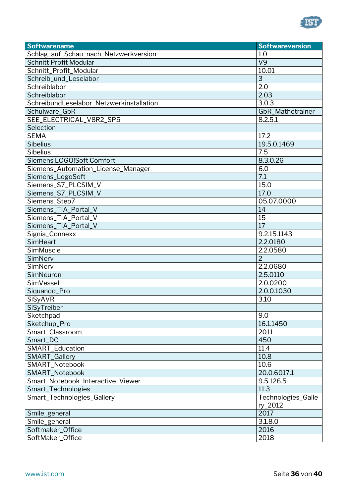

| <b>Softwarename</b>                              | <b>Softwareversion</b> |
|--------------------------------------------------|------------------------|
| Schlag_auf_Schau_nach_Netzwerkversion            | 1.0                    |
| <b>Schnitt Profit Modular</b>                    | V <sub>9</sub>         |
| Schnitt_Profit_Modular                           | 10.01                  |
| Schreib_und_Leselabor                            | 3                      |
| Schreiblabor                                     | 2.0                    |
| Schreiblabor                                     | 2.03                   |
| SchreibundLeselabor_Netzwerkinstallation         | 3.0.3                  |
| Schulware_GbR                                    | GbR_Mathetrainer       |
| SEE_ELECTRICAL_V8R2_SP5                          | 8.2.5.1                |
| Selection                                        |                        |
| <b>SEMA</b>                                      | 17.2                   |
| <b>Sibelius</b>                                  | 19.5.0.1469            |
| Sibelius                                         | 7.5                    |
| Siemens LOGO!Soft Comfort                        | 8.3.0.26               |
| Siemens_Automation_License_Manager               | 6.0                    |
| Siemens_LogoSoft                                 | 7.1                    |
| Siemens_S7_PLCSIM_V                              | 15.0                   |
| Siemens_S7_PLCSIM_V                              | 17.0                   |
| Siemens_Step7                                    | 05.07.0000             |
| Siemens_TIA_Portal_V                             | 14                     |
| Siemens_TIA_Portal_V                             | 15                     |
| Siemens_TIA_Portal_V                             | 17                     |
| Signia_Connexx                                   | 9.2.15.1143            |
| <b>SimHeart</b>                                  | 2.2.0180               |
| SimMuscle                                        | 2.2.0580               |
| SimNerv                                          | $\overline{2}$         |
| SimNerv                                          | 2.2.0680               |
| SimNeuron                                        | 2.5.0110               |
| SimVessel                                        | 2.0.0200               |
| Siquando_Pro                                     | 2.0.0.1030             |
| SiSyAVR                                          | 3.10                   |
| SiSyTreiber                                      |                        |
| Sketchpad                                        | 9.0                    |
| Sketchup_Pro                                     | 16.1.1450              |
| Smart_Classroom                                  | 2011                   |
| Smart_DC                                         | 450                    |
| SMART_Education                                  | 11.4                   |
| SMART_Gallery                                    | 10.8                   |
| SMART_Notebook                                   | 10.6                   |
| SMART_Notebook                                   | 20.0.6017.1            |
| Smart_Notebook_Interactive_Viewer                | 9.5.126.5<br>11.3      |
| Smart_Technologies<br>Smart_Technologies_Gallery | Technologies_Galle     |
|                                                  | ry_2012                |
| Smile_general                                    | 2017                   |
| Smile_general                                    | 3.1.8.0                |
| Softmaker_Office                                 | 2016                   |
| SoftMaker_Office                                 | 2018                   |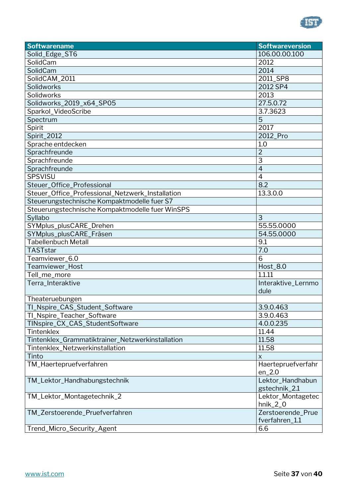

| 106.00.00.100<br>Solid_Edge_ST6<br>2012<br>SolidCam<br>SolidCam<br>2014<br>SolidCAM_2011<br>2011_SP8<br>Solidworks<br>2012 SP4<br>Solidworks<br>2013<br>Solidworks_2019_x64_SP05<br>27.5.0.72<br>3.7.3623<br>Sparkol_VideoScribe<br>5<br>Spectrum<br>Spirit<br>2017<br>Spirit_2012<br>2012_Pro<br>1.0<br>Sprache entdecken<br>$\overline{2}$<br>Sprachfreunde<br>3<br>Sprachfreunde<br>$\overline{4}$<br>Sprachfreunde<br>SPSVISU<br>$\overline{4}$<br>8.2<br>Steuer_Office_Professional<br>Steuer_Office_Professional_Netzwerk_Installation<br>13.3.0.0<br>Steuerungstechnische Kompaktmodelle fuer S7<br>Steuerungstechnische Kompaktmodelle fuer WinSPS<br>3<br>Syllabo<br>SYMplus_plusCARE_Drehen<br>55.55.0000<br>SYMplus_plusCARE_Fräsen<br>54.55.0000<br><b>Tabellenbuch Metall</b><br>9.1<br>7.0<br><b>TASTstar</b><br>6<br>Teamviewer_6.0<br>Teamviewer_Host<br><b>Host_8.0</b><br>1.1.11<br>Tell_me_more<br>Interaktive_Lernmo<br>Terra_Interaktive<br>dule<br>Theateruebungen<br>3.9.0.463<br>TI_Nspire_CAS_Student_Software<br>TI_Nspire_Teacher_Software<br>3.9.0.463<br>TINspire_CX_CAS_StudentSoftware<br>4.0.0.235<br>Tintenklex<br>11.44<br>Tintenklex_Grammatiktrainer_Netzwerkinstallation<br>11.58<br>11.58<br>Tintenklex_Netzwerkinstallation<br>Tinto<br>$\pmb{\times}$<br>TM_Haertepruefverfahren<br>Haertepruefverfahr<br>$en_2.0$<br>Lektor_Handhabun<br>TM_Lektor_Handhabungstechnik<br>gstechnik_2.1<br>TM_Lektor_Montagetechnik_2<br>Lektor_Montagetec<br>$hnik_2_0$<br>Zerstoerende_Prue<br>TM_Zerstoerende_Pruefverfahren<br>fverfahren_1.1<br>Trend_Micro_Security_Agent<br>6.6 | <b>Softwarename</b> | <b>Softwareversion</b> |
|----------------------------------------------------------------------------------------------------------------------------------------------------------------------------------------------------------------------------------------------------------------------------------------------------------------------------------------------------------------------------------------------------------------------------------------------------------------------------------------------------------------------------------------------------------------------------------------------------------------------------------------------------------------------------------------------------------------------------------------------------------------------------------------------------------------------------------------------------------------------------------------------------------------------------------------------------------------------------------------------------------------------------------------------------------------------------------------------------------------------------------------------------------------------------------------------------------------------------------------------------------------------------------------------------------------------------------------------------------------------------------------------------------------------------------------------------------------------------------------------------------------------------------------------------------------------------------------------------------------|---------------------|------------------------|
|                                                                                                                                                                                                                                                                                                                                                                                                                                                                                                                                                                                                                                                                                                                                                                                                                                                                                                                                                                                                                                                                                                                                                                                                                                                                                                                                                                                                                                                                                                                                                                                                                |                     |                        |
|                                                                                                                                                                                                                                                                                                                                                                                                                                                                                                                                                                                                                                                                                                                                                                                                                                                                                                                                                                                                                                                                                                                                                                                                                                                                                                                                                                                                                                                                                                                                                                                                                |                     |                        |
|                                                                                                                                                                                                                                                                                                                                                                                                                                                                                                                                                                                                                                                                                                                                                                                                                                                                                                                                                                                                                                                                                                                                                                                                                                                                                                                                                                                                                                                                                                                                                                                                                |                     |                        |
|                                                                                                                                                                                                                                                                                                                                                                                                                                                                                                                                                                                                                                                                                                                                                                                                                                                                                                                                                                                                                                                                                                                                                                                                                                                                                                                                                                                                                                                                                                                                                                                                                |                     |                        |
|                                                                                                                                                                                                                                                                                                                                                                                                                                                                                                                                                                                                                                                                                                                                                                                                                                                                                                                                                                                                                                                                                                                                                                                                                                                                                                                                                                                                                                                                                                                                                                                                                |                     |                        |
|                                                                                                                                                                                                                                                                                                                                                                                                                                                                                                                                                                                                                                                                                                                                                                                                                                                                                                                                                                                                                                                                                                                                                                                                                                                                                                                                                                                                                                                                                                                                                                                                                |                     |                        |
|                                                                                                                                                                                                                                                                                                                                                                                                                                                                                                                                                                                                                                                                                                                                                                                                                                                                                                                                                                                                                                                                                                                                                                                                                                                                                                                                                                                                                                                                                                                                                                                                                |                     |                        |
|                                                                                                                                                                                                                                                                                                                                                                                                                                                                                                                                                                                                                                                                                                                                                                                                                                                                                                                                                                                                                                                                                                                                                                                                                                                                                                                                                                                                                                                                                                                                                                                                                |                     |                        |
|                                                                                                                                                                                                                                                                                                                                                                                                                                                                                                                                                                                                                                                                                                                                                                                                                                                                                                                                                                                                                                                                                                                                                                                                                                                                                                                                                                                                                                                                                                                                                                                                                |                     |                        |
|                                                                                                                                                                                                                                                                                                                                                                                                                                                                                                                                                                                                                                                                                                                                                                                                                                                                                                                                                                                                                                                                                                                                                                                                                                                                                                                                                                                                                                                                                                                                                                                                                |                     |                        |
|                                                                                                                                                                                                                                                                                                                                                                                                                                                                                                                                                                                                                                                                                                                                                                                                                                                                                                                                                                                                                                                                                                                                                                                                                                                                                                                                                                                                                                                                                                                                                                                                                |                     |                        |
|                                                                                                                                                                                                                                                                                                                                                                                                                                                                                                                                                                                                                                                                                                                                                                                                                                                                                                                                                                                                                                                                                                                                                                                                                                                                                                                                                                                                                                                                                                                                                                                                                |                     |                        |
|                                                                                                                                                                                                                                                                                                                                                                                                                                                                                                                                                                                                                                                                                                                                                                                                                                                                                                                                                                                                                                                                                                                                                                                                                                                                                                                                                                                                                                                                                                                                                                                                                |                     |                        |
|                                                                                                                                                                                                                                                                                                                                                                                                                                                                                                                                                                                                                                                                                                                                                                                                                                                                                                                                                                                                                                                                                                                                                                                                                                                                                                                                                                                                                                                                                                                                                                                                                |                     |                        |
|                                                                                                                                                                                                                                                                                                                                                                                                                                                                                                                                                                                                                                                                                                                                                                                                                                                                                                                                                                                                                                                                                                                                                                                                                                                                                                                                                                                                                                                                                                                                                                                                                |                     |                        |
|                                                                                                                                                                                                                                                                                                                                                                                                                                                                                                                                                                                                                                                                                                                                                                                                                                                                                                                                                                                                                                                                                                                                                                                                                                                                                                                                                                                                                                                                                                                                                                                                                |                     |                        |
|                                                                                                                                                                                                                                                                                                                                                                                                                                                                                                                                                                                                                                                                                                                                                                                                                                                                                                                                                                                                                                                                                                                                                                                                                                                                                                                                                                                                                                                                                                                                                                                                                |                     |                        |
|                                                                                                                                                                                                                                                                                                                                                                                                                                                                                                                                                                                                                                                                                                                                                                                                                                                                                                                                                                                                                                                                                                                                                                                                                                                                                                                                                                                                                                                                                                                                                                                                                |                     |                        |
|                                                                                                                                                                                                                                                                                                                                                                                                                                                                                                                                                                                                                                                                                                                                                                                                                                                                                                                                                                                                                                                                                                                                                                                                                                                                                                                                                                                                                                                                                                                                                                                                                |                     |                        |
|                                                                                                                                                                                                                                                                                                                                                                                                                                                                                                                                                                                                                                                                                                                                                                                                                                                                                                                                                                                                                                                                                                                                                                                                                                                                                                                                                                                                                                                                                                                                                                                                                |                     |                        |
|                                                                                                                                                                                                                                                                                                                                                                                                                                                                                                                                                                                                                                                                                                                                                                                                                                                                                                                                                                                                                                                                                                                                                                                                                                                                                                                                                                                                                                                                                                                                                                                                                |                     |                        |
|                                                                                                                                                                                                                                                                                                                                                                                                                                                                                                                                                                                                                                                                                                                                                                                                                                                                                                                                                                                                                                                                                                                                                                                                                                                                                                                                                                                                                                                                                                                                                                                                                |                     |                        |
|                                                                                                                                                                                                                                                                                                                                                                                                                                                                                                                                                                                                                                                                                                                                                                                                                                                                                                                                                                                                                                                                                                                                                                                                                                                                                                                                                                                                                                                                                                                                                                                                                |                     |                        |
|                                                                                                                                                                                                                                                                                                                                                                                                                                                                                                                                                                                                                                                                                                                                                                                                                                                                                                                                                                                                                                                                                                                                                                                                                                                                                                                                                                                                                                                                                                                                                                                                                |                     |                        |
|                                                                                                                                                                                                                                                                                                                                                                                                                                                                                                                                                                                                                                                                                                                                                                                                                                                                                                                                                                                                                                                                                                                                                                                                                                                                                                                                                                                                                                                                                                                                                                                                                |                     |                        |
|                                                                                                                                                                                                                                                                                                                                                                                                                                                                                                                                                                                                                                                                                                                                                                                                                                                                                                                                                                                                                                                                                                                                                                                                                                                                                                                                                                                                                                                                                                                                                                                                                |                     |                        |
|                                                                                                                                                                                                                                                                                                                                                                                                                                                                                                                                                                                                                                                                                                                                                                                                                                                                                                                                                                                                                                                                                                                                                                                                                                                                                                                                                                                                                                                                                                                                                                                                                |                     |                        |
|                                                                                                                                                                                                                                                                                                                                                                                                                                                                                                                                                                                                                                                                                                                                                                                                                                                                                                                                                                                                                                                                                                                                                                                                                                                                                                                                                                                                                                                                                                                                                                                                                |                     |                        |
|                                                                                                                                                                                                                                                                                                                                                                                                                                                                                                                                                                                                                                                                                                                                                                                                                                                                                                                                                                                                                                                                                                                                                                                                                                                                                                                                                                                                                                                                                                                                                                                                                |                     |                        |
|                                                                                                                                                                                                                                                                                                                                                                                                                                                                                                                                                                                                                                                                                                                                                                                                                                                                                                                                                                                                                                                                                                                                                                                                                                                                                                                                                                                                                                                                                                                                                                                                                |                     |                        |
|                                                                                                                                                                                                                                                                                                                                                                                                                                                                                                                                                                                                                                                                                                                                                                                                                                                                                                                                                                                                                                                                                                                                                                                                                                                                                                                                                                                                                                                                                                                                                                                                                |                     |                        |
|                                                                                                                                                                                                                                                                                                                                                                                                                                                                                                                                                                                                                                                                                                                                                                                                                                                                                                                                                                                                                                                                                                                                                                                                                                                                                                                                                                                                                                                                                                                                                                                                                |                     |                        |
|                                                                                                                                                                                                                                                                                                                                                                                                                                                                                                                                                                                                                                                                                                                                                                                                                                                                                                                                                                                                                                                                                                                                                                                                                                                                                                                                                                                                                                                                                                                                                                                                                |                     |                        |
|                                                                                                                                                                                                                                                                                                                                                                                                                                                                                                                                                                                                                                                                                                                                                                                                                                                                                                                                                                                                                                                                                                                                                                                                                                                                                                                                                                                                                                                                                                                                                                                                                |                     |                        |
|                                                                                                                                                                                                                                                                                                                                                                                                                                                                                                                                                                                                                                                                                                                                                                                                                                                                                                                                                                                                                                                                                                                                                                                                                                                                                                                                                                                                                                                                                                                                                                                                                |                     |                        |
|                                                                                                                                                                                                                                                                                                                                                                                                                                                                                                                                                                                                                                                                                                                                                                                                                                                                                                                                                                                                                                                                                                                                                                                                                                                                                                                                                                                                                                                                                                                                                                                                                |                     |                        |
|                                                                                                                                                                                                                                                                                                                                                                                                                                                                                                                                                                                                                                                                                                                                                                                                                                                                                                                                                                                                                                                                                                                                                                                                                                                                                                                                                                                                                                                                                                                                                                                                                |                     |                        |
|                                                                                                                                                                                                                                                                                                                                                                                                                                                                                                                                                                                                                                                                                                                                                                                                                                                                                                                                                                                                                                                                                                                                                                                                                                                                                                                                                                                                                                                                                                                                                                                                                |                     |                        |
|                                                                                                                                                                                                                                                                                                                                                                                                                                                                                                                                                                                                                                                                                                                                                                                                                                                                                                                                                                                                                                                                                                                                                                                                                                                                                                                                                                                                                                                                                                                                                                                                                |                     |                        |
|                                                                                                                                                                                                                                                                                                                                                                                                                                                                                                                                                                                                                                                                                                                                                                                                                                                                                                                                                                                                                                                                                                                                                                                                                                                                                                                                                                                                                                                                                                                                                                                                                |                     |                        |
|                                                                                                                                                                                                                                                                                                                                                                                                                                                                                                                                                                                                                                                                                                                                                                                                                                                                                                                                                                                                                                                                                                                                                                                                                                                                                                                                                                                                                                                                                                                                                                                                                |                     |                        |
|                                                                                                                                                                                                                                                                                                                                                                                                                                                                                                                                                                                                                                                                                                                                                                                                                                                                                                                                                                                                                                                                                                                                                                                                                                                                                                                                                                                                                                                                                                                                                                                                                |                     |                        |
|                                                                                                                                                                                                                                                                                                                                                                                                                                                                                                                                                                                                                                                                                                                                                                                                                                                                                                                                                                                                                                                                                                                                                                                                                                                                                                                                                                                                                                                                                                                                                                                                                |                     |                        |
|                                                                                                                                                                                                                                                                                                                                                                                                                                                                                                                                                                                                                                                                                                                                                                                                                                                                                                                                                                                                                                                                                                                                                                                                                                                                                                                                                                                                                                                                                                                                                                                                                |                     |                        |
|                                                                                                                                                                                                                                                                                                                                                                                                                                                                                                                                                                                                                                                                                                                                                                                                                                                                                                                                                                                                                                                                                                                                                                                                                                                                                                                                                                                                                                                                                                                                                                                                                |                     |                        |
|                                                                                                                                                                                                                                                                                                                                                                                                                                                                                                                                                                                                                                                                                                                                                                                                                                                                                                                                                                                                                                                                                                                                                                                                                                                                                                                                                                                                                                                                                                                                                                                                                |                     |                        |
|                                                                                                                                                                                                                                                                                                                                                                                                                                                                                                                                                                                                                                                                                                                                                                                                                                                                                                                                                                                                                                                                                                                                                                                                                                                                                                                                                                                                                                                                                                                                                                                                                |                     |                        |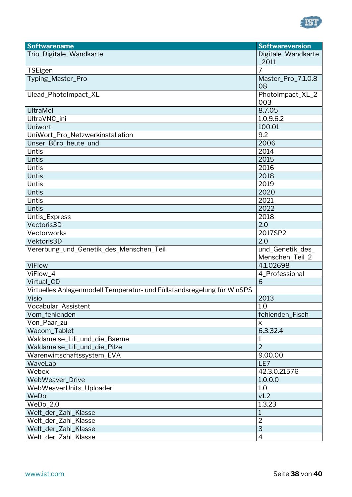

| <b>Softwarename</b>                                                    | <b>Softwareversion</b>              |
|------------------------------------------------------------------------|-------------------------------------|
| Trio_Digitale_Wandkarte                                                | Digitale_Wandkarte<br>2011          |
| TSEigen                                                                | 7                                   |
| Typing_Master_Pro                                                      | Master_Pro_7.1.0.8<br>08            |
| Ulead_PhotoImpact_XL                                                   | PhotoImpact_XL_2<br>003             |
| <b>UltraMol</b>                                                        | 8.7.05                              |
| UltraVNC_ini                                                           | 1.0.9.6.2                           |
| Uniwort                                                                | 100.01                              |
| UniWort_Pro_Netzwerkinstallation                                       | 9.2                                 |
| Unser_Büro_heute_und                                                   | 2006                                |
| <b>Untis</b>                                                           | 2014                                |
| <b>Untis</b>                                                           | 2015                                |
| Untis                                                                  | 2016                                |
| Untis                                                                  | 2018                                |
| Untis                                                                  | 2019                                |
| <b>Untis</b>                                                           | 2020                                |
| Untis                                                                  | 2021                                |
| <b>Untis</b>                                                           | 2022                                |
| Untis_Express                                                          | 2018                                |
| Vectoris3D                                                             | 2.0                                 |
| Vectorworks                                                            | 2017SP2                             |
| Vektoris3D                                                             | 2.0                                 |
| Vererbung_und_Genetik_des_Menschen_Teil                                | und_Genetik_des_<br>Menschen_Teil_2 |
| <b>ViFlow</b>                                                          | 4.1.02698                           |
| ViFlow_4                                                               | 4_Professional                      |
| Virtual_CD                                                             | 6                                   |
| Virtuelles Anlagenmodell Temperatur- und Füllstandsregelung für WinSPS |                                     |
| Visio                                                                  | 2013                                |
| Vocabular_Assistent                                                    | 1.0                                 |
| Vom_fehlenden                                                          | fehlenden_Fisch                     |
| Von_Paar_zu                                                            | X                                   |
| Wacom_Tablet                                                           | 6.3.32.4                            |
| Waldameise_Lili_und_die_Baeme                                          | 1                                   |
| Waldameise_Lili_und_die_Pilze                                          | $\overline{2}$                      |
| Warenwirtschaftssystem_EVA                                             | 9.00.00                             |
| WaveLap                                                                | LE7                                 |
| Webex                                                                  | 42.3.0.21576                        |
| WebWeaver_Drive                                                        | 1.0.0.0                             |
| WebWeaverUnits_Uploader                                                | 1.0                                 |
| WeDo                                                                   | v1.2                                |
| $WeDo_2.0$                                                             | 1.3.23                              |
| Welt_der_Zahl_Klasse                                                   | 1                                   |
| Welt_der_Zahl_Klasse                                                   | $\overline{2}$                      |
| Welt_der_Zahl_Klasse                                                   | $\overline{3}$                      |
| Welt_der_Zahl_Klasse                                                   | $\overline{4}$                      |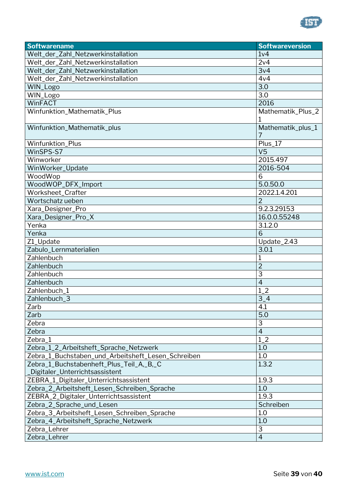

| Welt_der_Zahl_Netzwerkinstallation<br>1 <sub>V</sub> 4<br>2v4<br>Welt_der_Zahl_Netzwerkinstallation<br>Welt_der_Zahl_Netzwerkinstallation<br>3v4<br>Welt_der_Zahl_Netzwerkinstallation<br>4v4<br>3.0<br>WIN_Logo<br>3.0<br>WIN_Logo<br>WinFACT<br>2016<br>Winfunktion_Mathematik_Plus<br>Mathematik_Plus_2<br>1<br>Winfunktion_Mathematik_plus<br>Mathematik_plus_1<br>7<br>Winfunktion_Plus<br>Plus_17<br>WinSPS-S7<br>V <sub>5</sub><br>Winworker<br>2015.497<br>2016-504<br>WinWorker_Update<br>WoodWop<br>6<br>WoodWOP_DFX_Import<br>5.0.50.0<br>Worksheet_Crafter<br>2022.1.4.201<br>$\overline{2}$<br>Wortschatz ueben<br>9.2.3.29153<br>Xara_Designer_Pro<br>Xara_Designer_Pro_X<br>16.0.0.55248<br>Yenka<br>3.1.2.0<br>6<br>Yenka<br>Update_2.43<br>Z1_Update<br>Zabulo_Lernmaterialien<br>3.0.1<br>Zahlenbuch<br>$\mathbf 1$<br>$\overline{2}$<br>Zahlenbuch<br>3<br>Zahlenbuch<br>$\overline{4}$<br>Zahlenbuch |
|--------------------------------------------------------------------------------------------------------------------------------------------------------------------------------------------------------------------------------------------------------------------------------------------------------------------------------------------------------------------------------------------------------------------------------------------------------------------------------------------------------------------------------------------------------------------------------------------------------------------------------------------------------------------------------------------------------------------------------------------------------------------------------------------------------------------------------------------------------------------------------------------------------------------------|
|                                                                                                                                                                                                                                                                                                                                                                                                                                                                                                                                                                                                                                                                                                                                                                                                                                                                                                                          |
|                                                                                                                                                                                                                                                                                                                                                                                                                                                                                                                                                                                                                                                                                                                                                                                                                                                                                                                          |
|                                                                                                                                                                                                                                                                                                                                                                                                                                                                                                                                                                                                                                                                                                                                                                                                                                                                                                                          |
|                                                                                                                                                                                                                                                                                                                                                                                                                                                                                                                                                                                                                                                                                                                                                                                                                                                                                                                          |
|                                                                                                                                                                                                                                                                                                                                                                                                                                                                                                                                                                                                                                                                                                                                                                                                                                                                                                                          |
|                                                                                                                                                                                                                                                                                                                                                                                                                                                                                                                                                                                                                                                                                                                                                                                                                                                                                                                          |
|                                                                                                                                                                                                                                                                                                                                                                                                                                                                                                                                                                                                                                                                                                                                                                                                                                                                                                                          |
|                                                                                                                                                                                                                                                                                                                                                                                                                                                                                                                                                                                                                                                                                                                                                                                                                                                                                                                          |
|                                                                                                                                                                                                                                                                                                                                                                                                                                                                                                                                                                                                                                                                                                                                                                                                                                                                                                                          |
|                                                                                                                                                                                                                                                                                                                                                                                                                                                                                                                                                                                                                                                                                                                                                                                                                                                                                                                          |
|                                                                                                                                                                                                                                                                                                                                                                                                                                                                                                                                                                                                                                                                                                                                                                                                                                                                                                                          |
|                                                                                                                                                                                                                                                                                                                                                                                                                                                                                                                                                                                                                                                                                                                                                                                                                                                                                                                          |
|                                                                                                                                                                                                                                                                                                                                                                                                                                                                                                                                                                                                                                                                                                                                                                                                                                                                                                                          |
|                                                                                                                                                                                                                                                                                                                                                                                                                                                                                                                                                                                                                                                                                                                                                                                                                                                                                                                          |
|                                                                                                                                                                                                                                                                                                                                                                                                                                                                                                                                                                                                                                                                                                                                                                                                                                                                                                                          |
|                                                                                                                                                                                                                                                                                                                                                                                                                                                                                                                                                                                                                                                                                                                                                                                                                                                                                                                          |
|                                                                                                                                                                                                                                                                                                                                                                                                                                                                                                                                                                                                                                                                                                                                                                                                                                                                                                                          |
|                                                                                                                                                                                                                                                                                                                                                                                                                                                                                                                                                                                                                                                                                                                                                                                                                                                                                                                          |
|                                                                                                                                                                                                                                                                                                                                                                                                                                                                                                                                                                                                                                                                                                                                                                                                                                                                                                                          |
|                                                                                                                                                                                                                                                                                                                                                                                                                                                                                                                                                                                                                                                                                                                                                                                                                                                                                                                          |
|                                                                                                                                                                                                                                                                                                                                                                                                                                                                                                                                                                                                                                                                                                                                                                                                                                                                                                                          |
|                                                                                                                                                                                                                                                                                                                                                                                                                                                                                                                                                                                                                                                                                                                                                                                                                                                                                                                          |
|                                                                                                                                                                                                                                                                                                                                                                                                                                                                                                                                                                                                                                                                                                                                                                                                                                                                                                                          |
|                                                                                                                                                                                                                                                                                                                                                                                                                                                                                                                                                                                                                                                                                                                                                                                                                                                                                                                          |
|                                                                                                                                                                                                                                                                                                                                                                                                                                                                                                                                                                                                                                                                                                                                                                                                                                                                                                                          |
|                                                                                                                                                                                                                                                                                                                                                                                                                                                                                                                                                                                                                                                                                                                                                                                                                                                                                                                          |
|                                                                                                                                                                                                                                                                                                                                                                                                                                                                                                                                                                                                                                                                                                                                                                                                                                                                                                                          |
| Zahlenbuch_1<br>$1-2$                                                                                                                                                                                                                                                                                                                                                                                                                                                                                                                                                                                                                                                                                                                                                                                                                                                                                                    |
| Zahlenbuch_3<br>$3-4$                                                                                                                                                                                                                                                                                                                                                                                                                                                                                                                                                                                                                                                                                                                                                                                                                                                                                                    |
| Zarb<br>4.1                                                                                                                                                                                                                                                                                                                                                                                                                                                                                                                                                                                                                                                                                                                                                                                                                                                                                                              |
| 5.0<br>Zarb                                                                                                                                                                                                                                                                                                                                                                                                                                                                                                                                                                                                                                                                                                                                                                                                                                                                                                              |
| 3<br>Zebra                                                                                                                                                                                                                                                                                                                                                                                                                                                                                                                                                                                                                                                                                                                                                                                                                                                                                                               |
| $\overline{4}$<br>Zebra                                                                                                                                                                                                                                                                                                                                                                                                                                                                                                                                                                                                                                                                                                                                                                                                                                                                                                  |
| $1_{-}2$<br>Zebra_1                                                                                                                                                                                                                                                                                                                                                                                                                                                                                                                                                                                                                                                                                                                                                                                                                                                                                                      |
| 1.0<br>Zebra_1_2_Arbeitsheft_Sprache_Netzwerk                                                                                                                                                                                                                                                                                                                                                                                                                                                                                                                                                                                                                                                                                                                                                                                                                                                                            |
| $1.0\,$<br>Zebra_1_Buchstaben_und_Arbeitsheft_Lesen_Schreiben                                                                                                                                                                                                                                                                                                                                                                                                                                                                                                                                                                                                                                                                                                                                                                                                                                                            |
| 1.3.2<br>Zebra_1_Buchstabenheft_Plus_Teil_A,_B,_C                                                                                                                                                                                                                                                                                                                                                                                                                                                                                                                                                                                                                                                                                                                                                                                                                                                                        |
| Digitaler_Unterrichtsassistent                                                                                                                                                                                                                                                                                                                                                                                                                                                                                                                                                                                                                                                                                                                                                                                                                                                                                           |
| ZEBRA_1_Digitaler_Unterrichtsassistent<br>1.9.3                                                                                                                                                                                                                                                                                                                                                                                                                                                                                                                                                                                                                                                                                                                                                                                                                                                                          |
| Zebra_2_Arbeitsheft_Lesen_Schreiben_Sprache<br>1.0                                                                                                                                                                                                                                                                                                                                                                                                                                                                                                                                                                                                                                                                                                                                                                                                                                                                       |
| 1.9.3<br>ZEBRA_2_Digitaler_Unterrichtsassistent                                                                                                                                                                                                                                                                                                                                                                                                                                                                                                                                                                                                                                                                                                                                                                                                                                                                          |
| Zebra_2_Sprache_und_Lesen<br>Schreiben                                                                                                                                                                                                                                                                                                                                                                                                                                                                                                                                                                                                                                                                                                                                                                                                                                                                                   |
| 1.0<br>Zebra_3_Arbeitsheft_Lesen_Schreiben_Sprache                                                                                                                                                                                                                                                                                                                                                                                                                                                                                                                                                                                                                                                                                                                                                                                                                                                                       |
| 1.0<br>Zebra_4_Arbeitsheft_Sprache_Netzwerk                                                                                                                                                                                                                                                                                                                                                                                                                                                                                                                                                                                                                                                                                                                                                                                                                                                                              |
| 3<br>Zebra_Lehrer                                                                                                                                                                                                                                                                                                                                                                                                                                                                                                                                                                                                                                                                                                                                                                                                                                                                                                        |
| $\overline{4}$<br>Zebra_Lehrer                                                                                                                                                                                                                                                                                                                                                                                                                                                                                                                                                                                                                                                                                                                                                                                                                                                                                           |